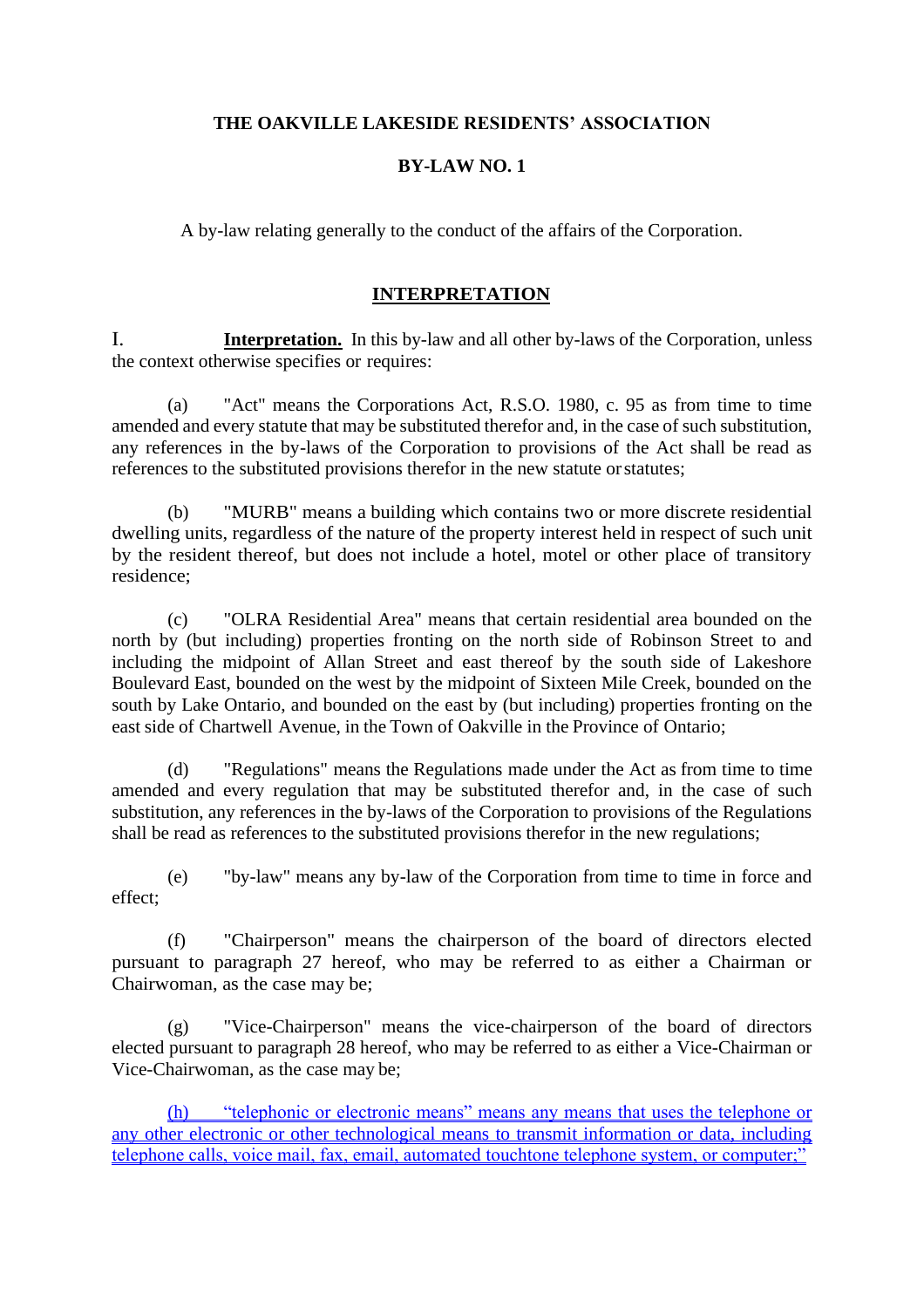### **THE OAKVILLE LAKESIDE RESIDENTS' ASSOCIATION**

### **BY-LAW NO. 1**

A by-law relating generally to the conduct of the affairs of the Corporation.

### **INTERPRETATION**

I. **Interpretation.** In this by-law and all other by-laws of the Corporation, unless the context otherwise specifies or requires:

(a) "Act" means the Corporations Act, R.S.O. 1980, c. 95 as from time to time amended and every statute that may be substituted therefor and, in the case of such substitution, any references in the by-laws of the Corporation to provisions of the Act shall be read as references to the substituted provisions therefor in the new statute orstatutes;

(b) "MURB" means a building which contains two or more discrete residential dwelling units, regardless of the nature of the property interest held in respect of such unit by the resident thereof, but does not include a hotel, motel or other place of transitory residence;

(c) "OLRA Residential Area" means that certain residential area bounded on the north by (but including) properties fronting on the north side of Robinson Street to and including the midpoint of Allan Street and east thereof by the south side of Lakeshore Boulevard East, bounded on the west by the midpoint of Sixteen Mile Creek, bounded on the south by Lake Ontario, and bounded on the east by (but including) properties fronting on the east side of Chartwell Avenue, in the Town of Oakville in the Province of Ontario;

(d) "Regulations" means the Regulations made under the Act as from time to time amended and every regulation that may be substituted therefor and, in the case of such substitution, any references in the by-laws of the Corporation to provisions of the Regulations shall be read as references to the substituted provisions therefor in the new regulations;

(e) "by-law" means any by-law of the Corporation from time to time in force and effect;

(f) "Chairperson" means the chairperson of the board of directors elected pursuant to paragraph 27 hereof, who may be referred to as either a Chairman or Chairwoman, as the case may be;

(g) "Vice-Chairperson" means the vice-chairperson of the board of directors elected pursuant to paragraph 28 hereof, who may be referred to as either a Vice-Chairman or Vice-Chairwoman, as the case may be;

"telephonic or electronic means" means any means that uses the telephone or any other electronic or other technological means to transmit information or data, including telephone calls, voice mail, fax, email, automated touchtone telephone system, or computer;"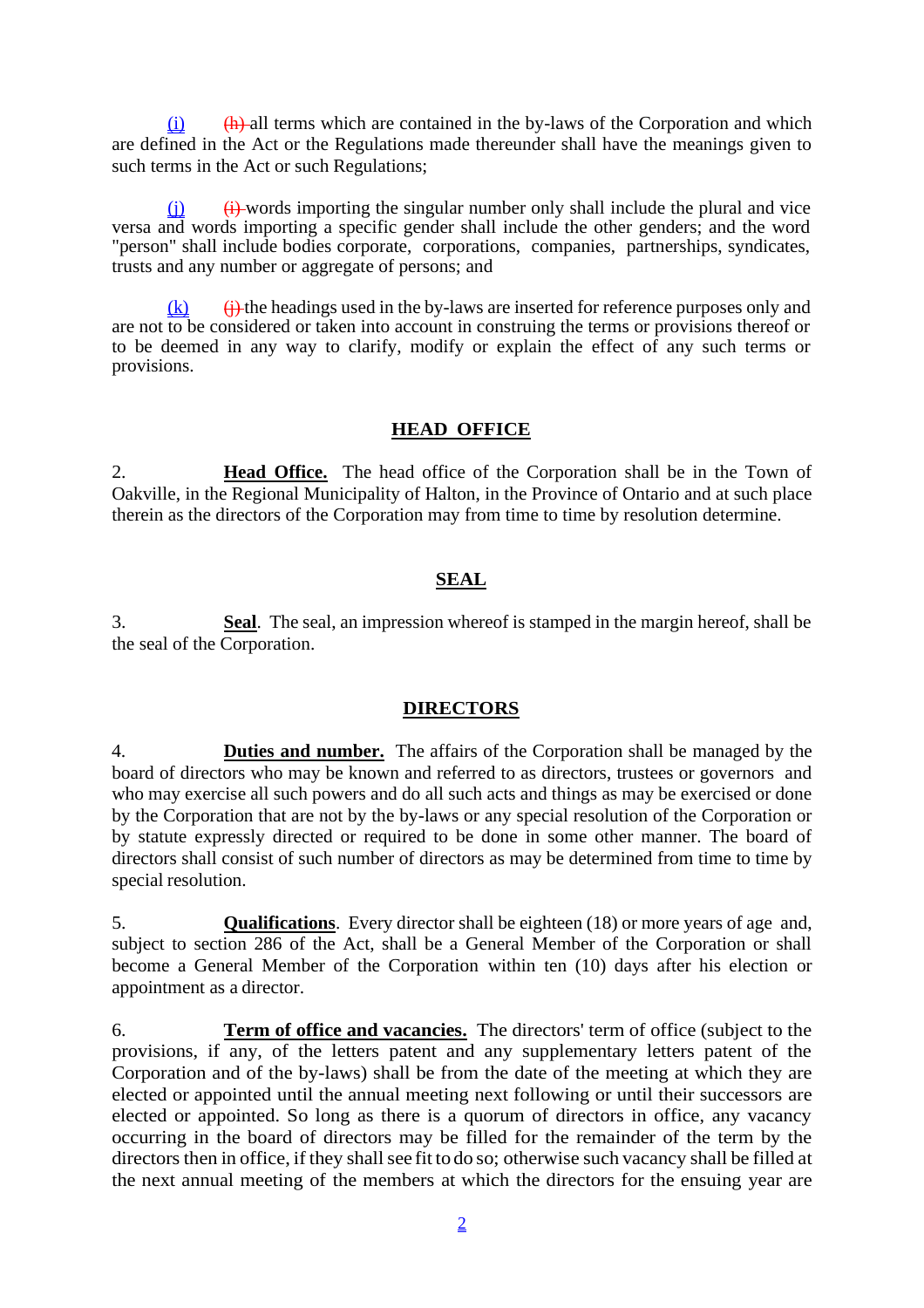$(i)$  (h) all terms which are contained in the by-laws of the Corporation and which are defined in the Act or the Regulations made thereunder shall have the meanings given to such terms in the Act or such Regulations;

 $\leftrightarrow$  words importing the singular number only shall include the plural and vice versa and words importing a specific gender shall include the other genders; and the word "person" shall include bodies corporate, corporations, companies, partnerships, syndicates, trusts and any number or aggregate of persons; and

 $(h)$  the headings used in the by-laws are inserted for reference purposes only and are not to be considered or taken into account in construing the terms or provisions thereof or to be deemed in any way to clarify, modify or explain the effect of any such terms or provisions.

# **HEAD OFFICE**

2. **Head Office.** The head office of the Corporation shall be in the Town of Oakville, in the Regional Municipality of Halton, in the Province of Ontario and at such place therein as the directors of the Corporation may from time to time by resolution determine.

### **SEAL**

3. **Seal**. The seal, an impression whereof is stamped in the margin hereof, shall be the seal of the Corporation.

#### **DIRECTORS**

4. **Duties and number.** The affairs of the Corporation shall be managed by the board of directors who may be known and referred to as directors, trustees or governors and who may exercise all such powers and do all such acts and things as may be exercised or done by the Corporation that are not by the by-laws or any special resolution of the Corporation or by statute expressly directed or required to be done in some other manner. The board of directors shall consist of such number of directors as may be determined from time to time by special resolution.

5. **Qualifications**. Every director shall be eighteen (18) or more years of age and, subject to section 286 of the Act, shall be a General Member of the Corporation or shall become a General Member of the Corporation within ten (10) days after his election or appointment as a director.

6. **Term of office and vacancies.** The directors' term of office (subject to the provisions, if any, of the letters patent and any supplementary letters patent of the Corporation and of the by-laws) shall be from the date of the meeting at which they are elected or appointed until the annual meeting next following or until their successors are elected or appointed. So long as there is a quorum of directors in office, any vacancy occurring in the board of directors may be filled for the remainder of the term by the directors then in office, if they shall see fit to do so; otherwise such vacancy shall be filled at the next annual meeting of the members at which the directors for the ensuing year are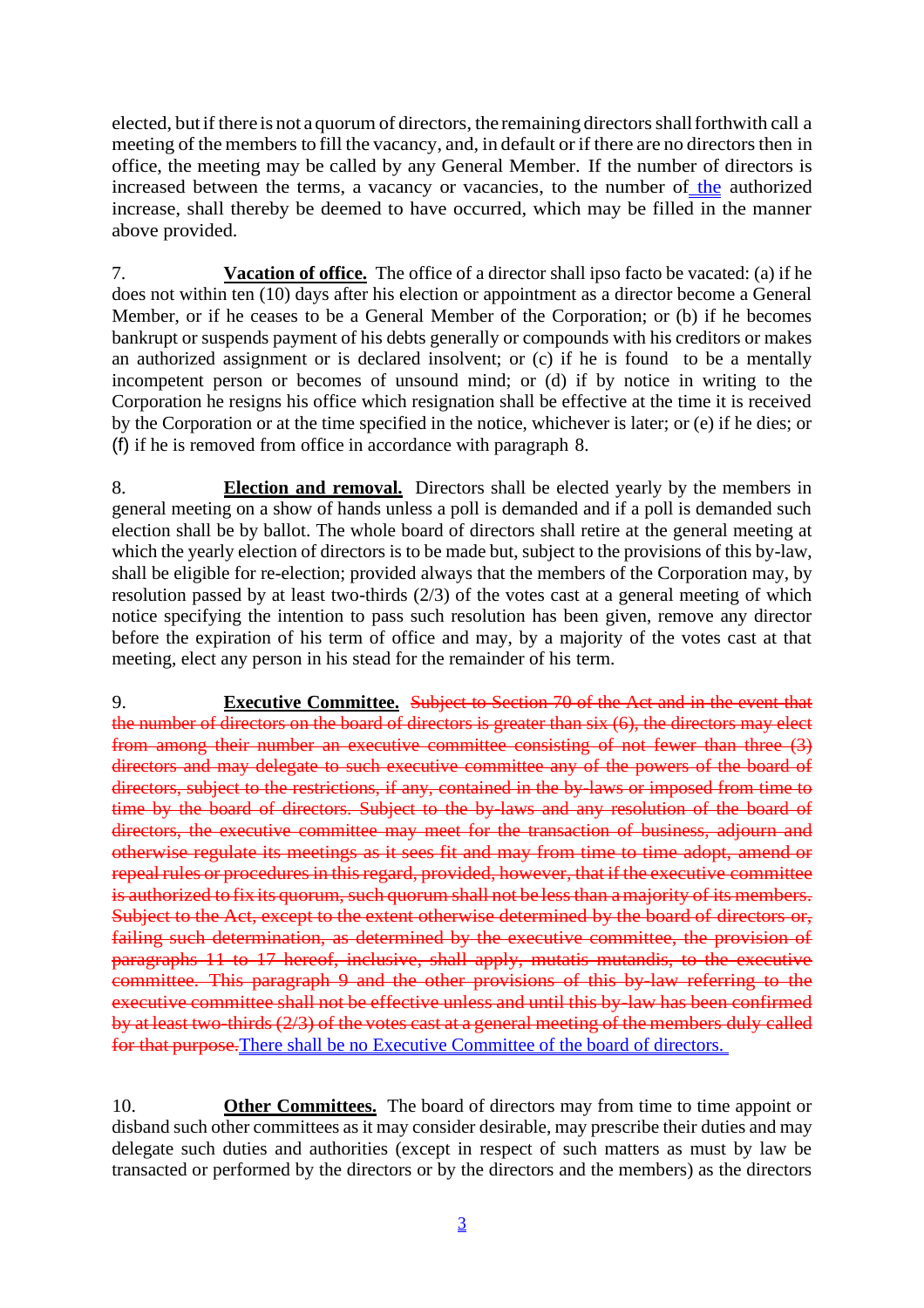elected, but if there is not a quorum of directors, the remaining directors shall forthwith call a meeting of the members to fill the vacancy, and, in default or if there are no directors then in office, the meeting may be called by any General Member. If the number of directors is increased between the terms, a vacancy or vacancies, to the number of the authorized increase, shall thereby be deemed to have occurred, which may be filled in the manner above provided.

7. **Vacation of office.** The office of a director shall ipso facto be vacated: (a) if he does not within ten (10) days after his election or appointment as a director become a General Member, or if he ceases to be a General Member of the Corporation; or (b) if he becomes bankrupt or suspends payment of his debts generally or compounds with his creditors or makes an authorized assignment or is declared insolvent; or (c) if he is found to be a mentally incompetent person or becomes of unsound mind; or (d) if by notice in writing to the Corporation he resigns his office which resignation shall be effective at the time it is received by the Corporation or at the time specified in the notice, whichever is later; or (e) if he dies; or (f) if he is removed from office in accordance with paragraph 8.

8. **Election and removal.** Directors shall be elected yearly by the members in general meeting on a show of hands unless a poll is demanded and if a poll is demanded such election shall be by ballot. The whole board of directors shall retire at the general meeting at which the yearly election of directors is to be made but, subject to the provisions of this by-law, shall be eligible for re-election; provided always that the members of the Corporation may, by resolution passed by at least two-thirds (2/3) of the votes cast at a general meeting of which notice specifying the intention to pass such resolution has been given, remove any director before the expiration of his term of office and may, by a majority of the votes cast at that meeting, elect any person in his stead for the remainder of his term.

9. **Executive Committee.** Subject to Section 70 of the Act and in the event that the number of directors on the board of directors is greater than six (6), the directors may elect from among their number an executive committee consisting of not fewer than three (3) directors and may delegate to such executive committee any of the powers of the board of directors, subject to the restrictions, if any, contained in the by-laws or imposed from time to time by the board of directors. Subject to the by-laws and any resolution of the board of directors, the executive committee may meet for the transaction of business, adjourn and otherwise regulate its meetings as it sees fit and may from time to time adopt, amend or repeal rules or procedures in this regard, provided, however, that if the executive committee is authorized to fix its quorum, such quorum shall not be less than a majority of its members. Subject to the Act, except to the extent otherwise determined by the board of directors or, failing such determination, as determined by the executive committee, the provision of paragraphs 11 to 17 hereof, inclusive, shall apply, mutatis mutandis, to the executive committee. This paragraph 9 and the other provisions of this by-law referring to the executive committee shall not be effective unless and until this by-law has been confirmed by at least two-thirds (2/3) of the votes cast at a general meeting of the members duly called for that purpose.There shall be no Executive Committee of the board of directors.

10. **Other Committees.** The board of directors may from time to time appoint or disband such other committees as it may consider desirable, may prescribe their duties and may delegate such duties and authorities (except in respect of such matters as must by law be transacted or performed by the directors or by the directors and the members) as the directors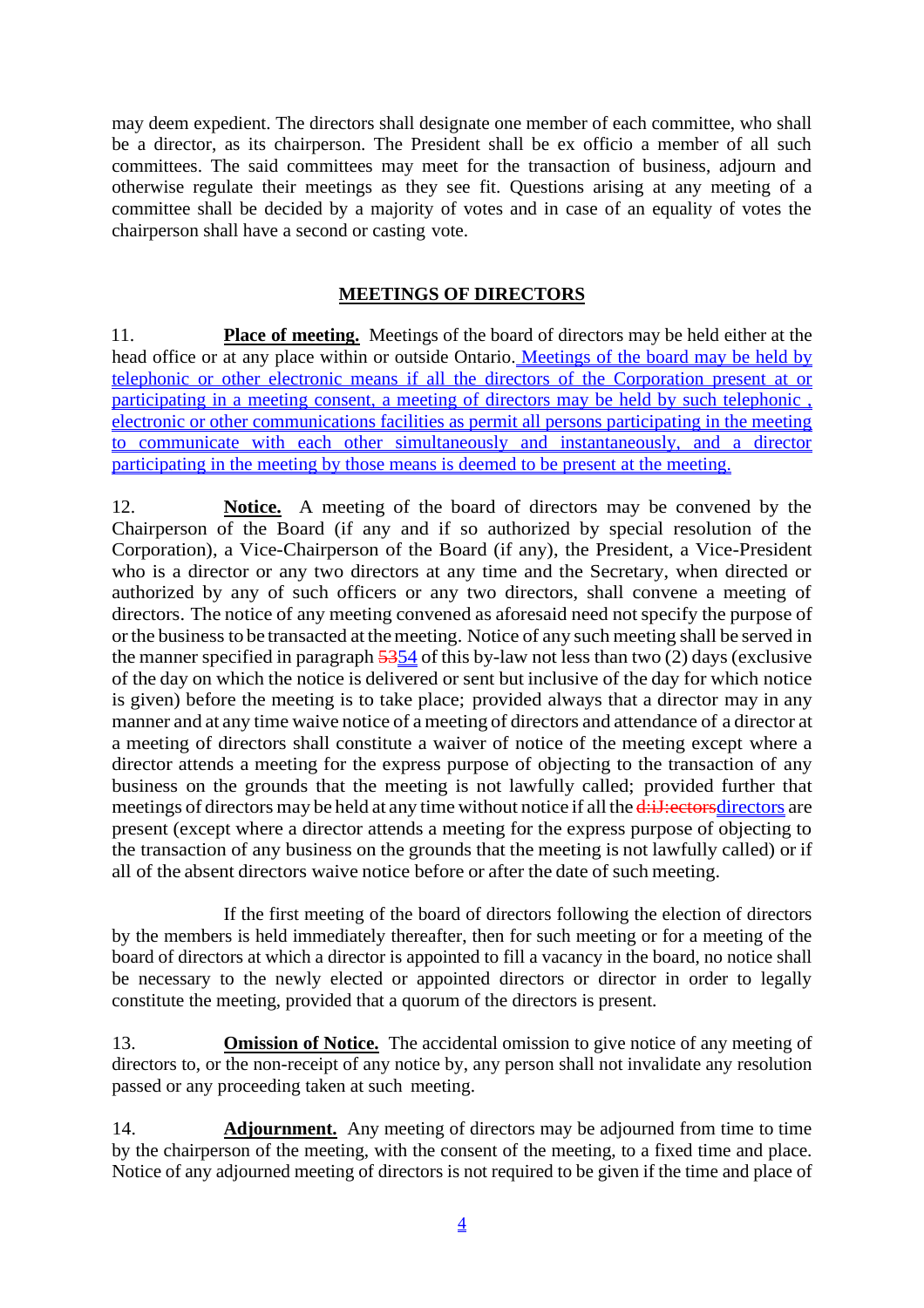may deem expedient. The directors shall designate one member of each committee, who shall be a director, as its chairperson. The President shall be ex officio a member of all such committees. The said committees may meet for the transaction of business, adjourn and otherwise regulate their meetings as they see fit. Questions arising at any meeting of a committee shall be decided by a majority of votes and in case of an equality of votes the chairperson shall have a second or casting vote.

# **MEETINGS OF DIRECTORS**

11. **Place of meeting.** Meetings of the board of directors may be held either at the head office or at any place within or outside Ontario. Meetings of the board may be held by telephonic or other electronic means if all the directors of the Corporation present at or participating in a meeting consent, a meeting of directors may be held by such telephonic , electronic or other communications facilities as permit all persons participating in the meeting to communicate with each other simultaneously and instantaneously, and a director participating in the meeting by those means is deemed to be present at the meeting.

12. **Notice.** A meeting of the board of directors may be convened by the Chairperson of the Board (if any and if so authorized by special resolution of the Corporation), a Vice-Chairperson of the Board (if any), the President, a Vice-President who is a director or any two directors at any time and the Secretary, when directed or authorized by any of such officers or any two directors, shall convene a meeting of directors. The notice of any meeting convened as aforesaid need not specify the purpose of orthe business to be transacted at themeeting. Notice of any such meeting shall be served in the manner specified in paragraph 5354 of this by-law not less than two (2) days (exclusive of the day on which the notice is delivered or sent but inclusive of the day for which notice is given) before the meeting is to take place; provided always that a director may in any manner and at any time waive notice of a meeting of directors and attendance of a director at a meeting of directors shall constitute a waiver of notice of the meeting except where a director attends a meeting for the express purpose of objecting to the transaction of any business on the grounds that the meeting is not lawfully called; provided further that meetings of directors may be held at any time without notice if all the d:i. J: ectors directors are present (except where a director attends a meeting for the express purpose of objecting to the transaction of any business on the grounds that the meeting is not lawfully called) or if all of the absent directors waive notice before or after the date of such meeting.

If the first meeting of the board of directors following the election of directors by the members is held immediately thereafter, then for such meeting or for a meeting of the board of directors at which a director is appointed to fill a vacancy in the board, no notice shall be necessary to the newly elected or appointed directors or director in order to legally constitute the meeting, provided that a quorum of the directors is present.

13. **Omission of Notice.** The accidental omission to give notice of any meeting of directors to, or the non-receipt of any notice by, any person shall not invalidate any resolution passed or any proceeding taken at such meeting.

14. **Adjournment.** Any meeting of directors may be adjourned from time to time by the chairperson of the meeting, with the consent of the meeting, to a fixed time and place. Notice of any adjourned meeting of directors is not required to be given if the time and place of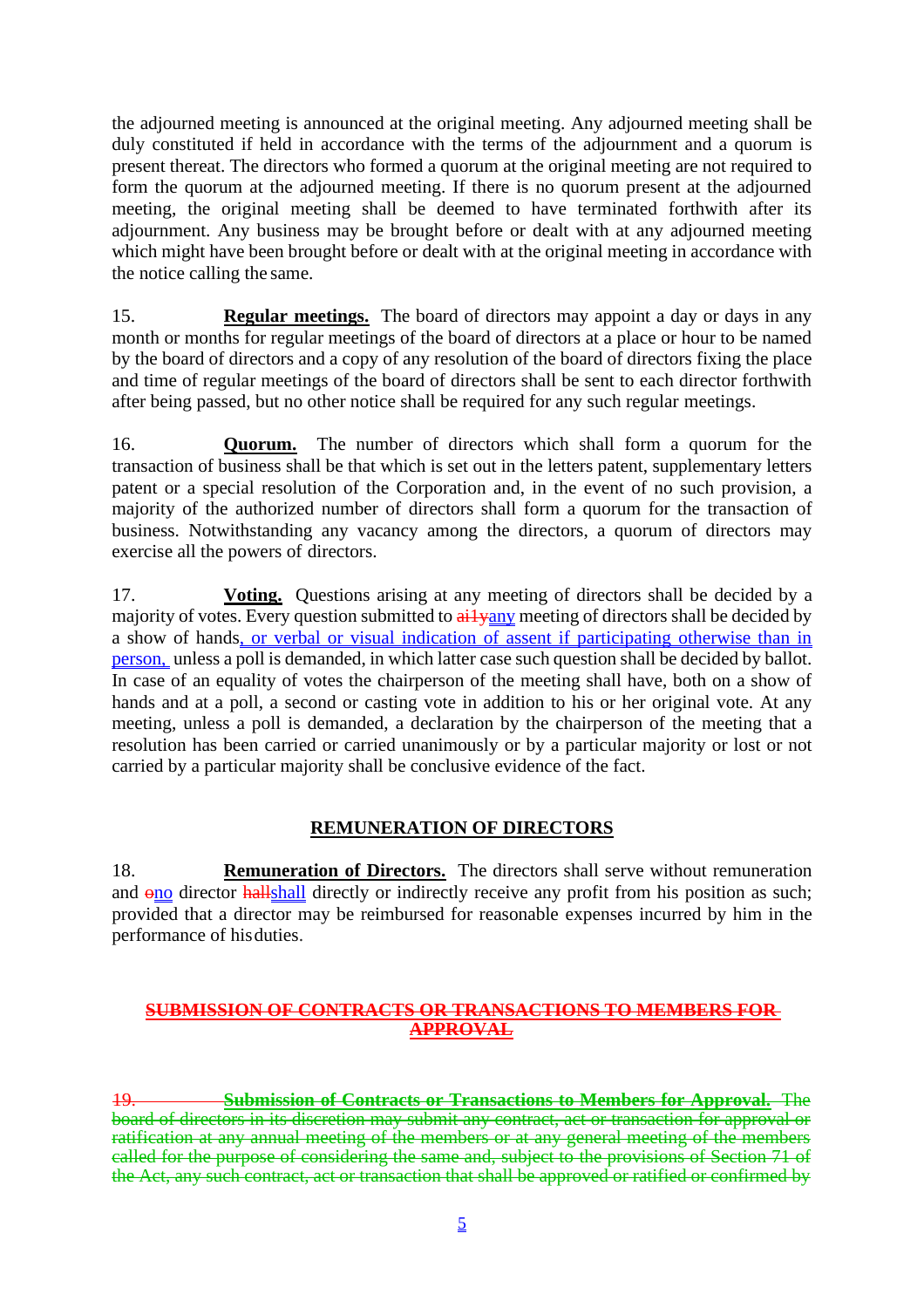the adjourned meeting is announced at the original meeting. Any adjourned meeting shall be duly constituted if held in accordance with the terms of the adjournment and a quorum is present thereat. The directors who formed a quorum at the original meeting are not required to form the quorum at the adjourned meeting. If there is no quorum present at the adjourned meeting, the original meeting shall be deemed to have terminated forthwith after its adjournment. Any business may be brought before or dealt with at any adjourned meeting which might have been brought before or dealt with at the original meeting in accordance with the notice calling the same.

15. **Regular meetings.** The board of directors may appoint a day or days in any month or months for regular meetings of the board of directors at a place or hour to be named by the board of directors and a copy of any resolution of the board of directors fixing the place and time of regular meetings of the board of directors shall be sent to each director forthwith after being passed, but no other notice shall be required for any such regular meetings.

16. **Quorum.** The number of directors which shall form a quorum for the transaction of business shall be that which is set out in the letters patent, supplementary letters patent or a special resolution of the Corporation and, in the event of no such provision, a majority of the authorized number of directors shall form a quorum for the transaction of business. Notwithstanding any vacancy among the directors, a quorum of directors may exercise all the powers of directors.

17. **Voting.** Questions arising at any meeting of directors shall be decided by a majority of votes. Every question submitted to  $\frac{a_i}{y_i}$  meeting of directors shall be decided by a show of hands, or verbal or visual indication of assent if participating otherwise than in person, unless a poll is demanded, in which latter case such question shall be decided by ballot. In case of an equality of votes the chairperson of the meeting shall have, both on a show of hands and at a poll, a second or casting vote in addition to his or her original vote. At any meeting, unless a poll is demanded, a declaration by the chairperson of the meeting that a resolution has been carried or carried unanimously or by a particular majority or lost or not carried by a particular majority shall be conclusive evidence of the fact.

# **REMUNERATION OF DIRECTORS**

18. **Remuneration of Directors.** The directors shall serve without remuneration and ono director hallshall directly or indirectly receive any profit from his position as such; provided that a director may be reimbursed for reasonable expenses incurred by him in the performance of hisduties.

### **SUBMISSION OF CONTRACTS OR TRANSACTIONS TO MEMBERS FOR APPROVAL**

19. **Submission of Contracts or Transactions to Members for Approval.** The board of directors in its discretion may submit any contract, act or transaction for approval or ratification at any annual meeting of the members or at any general meeting of the members called for the purpose of considering the same and, subject to the provisions of Section 71 of the Act, any such contract, act or transaction that shall be approved or ratified or confirmed by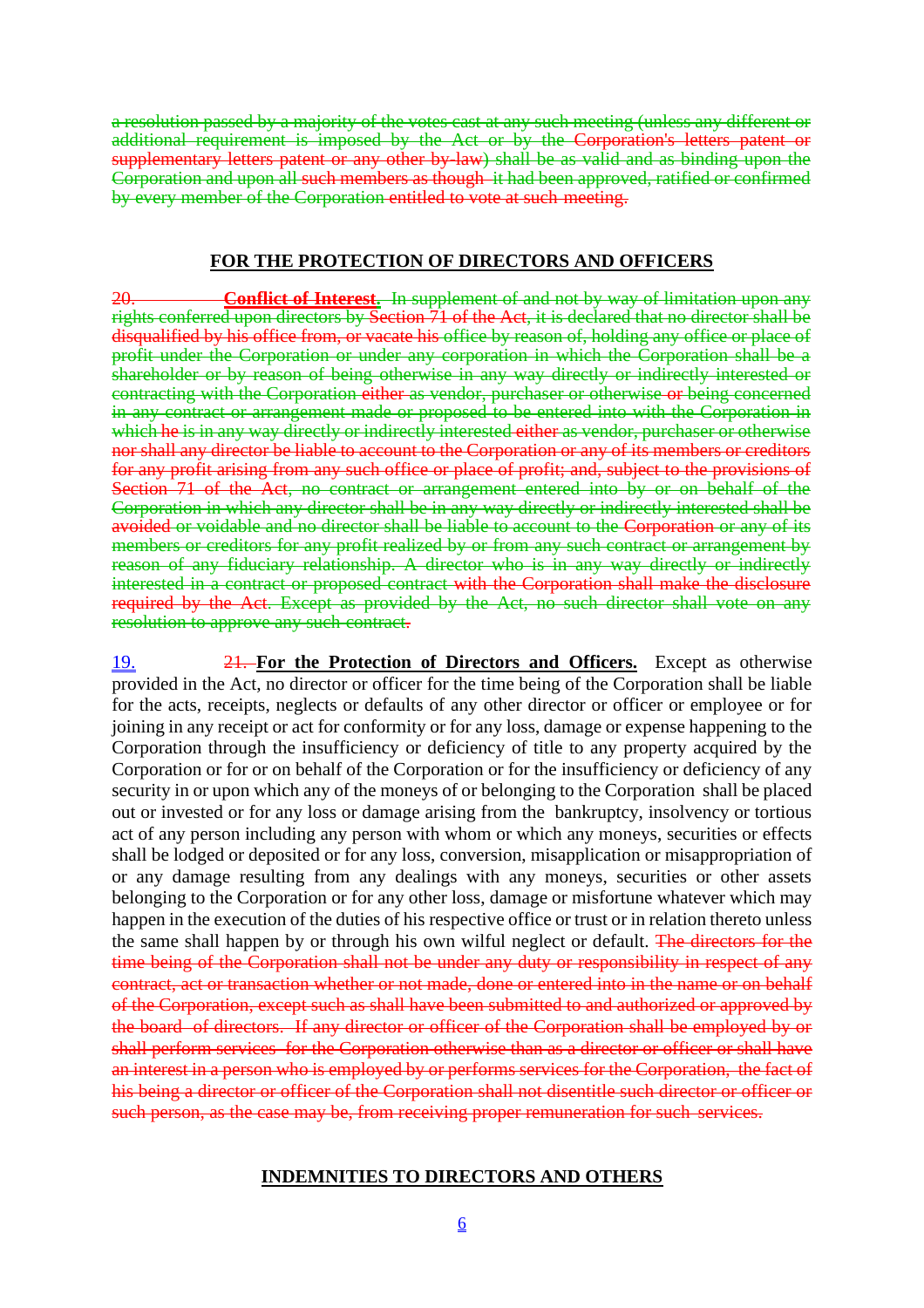a resolution passed by a majority of the votes cast at any such meeting (unless any different or additional requirement is imposed by the Act or by the Corporation's letters patent or supplementary letters patent or any other by-law) shall be as valid and as binding upon the Corporation and upon all such members as though it had been approved, ratified or confirmed by every member of the Corporation entitled to vote at such meeting.

#### **FOR THE PROTECTION OF DIRECTORS AND OFFICERS**

20. **Conflict of Interest.** In supplement of and not by way of limitation upon any rights conferred upon directors by Section 71 of the Act, it is declared that no director shall be disqualified by his office from, or vacate his office by reason of, holding any office or place of profit under the Corporation or under any corporation in which the Corporation shall be a shareholder or by reason of being otherwise in any way directly or indirectly interested or contracting with the Corporation either as vendor, purchaser or otherwise or being concerned in any contract or arrangement made or proposed to be entered into with the Corporation in which he is in any way directly or indirectly interested either as vendor, purchaser or otherwise nor shall any director be liable to account to the Corporation or any of its members or creditors for any profit arising from any such office or place of profit; and, subject to the provisions of Section 71 of the Act, no contract or arrangement entered into by or on behalf of the Corporation in which any director shall be in any way directly or indirectly interested shall be avoided or voidable and no director shall be liable to account to the Corporation or any of its members or creditors for any profit realized by or from any such contract or arrangement by reason of any fiduciary relationship. A director who is in any way directly or indirectly interested in a contract or proposed contract with the Corporation shall make the disclosure required by the Act. Except as provided by the Act, no such director shall vote on any resolution to approve any such contract.

19. 21. **For the Protection of Directors and Officers.** Except as otherwise provided in the Act, no director or officer for the time being of the Corporation shall be liable for the acts, receipts, neglects or defaults of any other director or officer or employee or for joining in any receipt or act for conformity or for any loss, damage or expense happening to the Corporation through the insufficiency or deficiency of title to any property acquired by the Corporation or for or on behalf of the Corporation or for the insufficiency or deficiency of any security in or upon which any of the moneys of or belonging to the Corporation shall be placed out or invested or for any loss or damage arising from the bankruptcy, insolvency or tortious act of any person including any person with whom or which any moneys, securities or effects shall be lodged or deposited or for any loss, conversion, misapplication or misappropriation of or any damage resulting from any dealings with any moneys, securities or other assets belonging to the Corporation or for any other loss, damage or misfortune whatever which may happen in the execution of the duties of his respective office or trust or in relation thereto unless the same shall happen by or through his own wilful neglect or default. The directors for the time being of the Corporation shall not be under any duty or responsibility in respect of any contract, act or transaction whether or not made, done or entered into in the name or on behalf of the Corporation, except such as shall have been submitted to and authorized or approved by the board of directors. If any director or officer of the Corporation shall be employed by or shall perform services for the Corporation otherwise than as a director or officer or shall have an interest in a person who is employed by or performs services for the Corporation, the fact of his being a director or officer of the Corporation shall not disentitle such director or officer or such person, as the case may be, from receiving proper remuneration for such services.

#### **INDEMNITIES TO DIRECTORS AND OTHERS**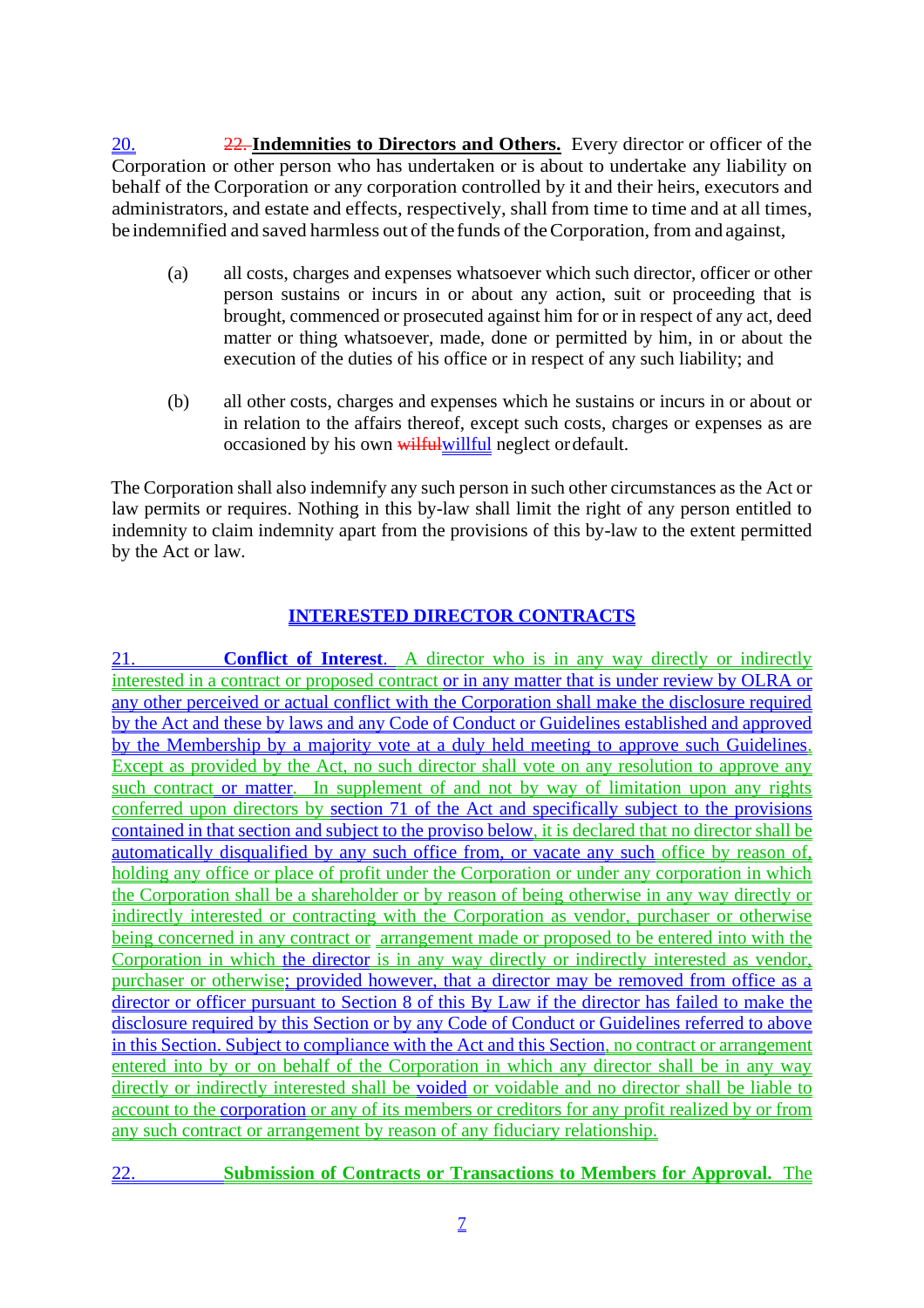20. 22. **Indemnities to Directors and Others.** Every director or officer of the Corporation or other person who has undertaken or is about to undertake any liability on behalf of the Corporation or any corporation controlled by it and their heirs, executors and administrators, and estate and effects, respectively, shall from time to time and at all times, be indemnified and saved harmless out of the funds of theCorporation, from and against,

- (a) all costs, charges and expenses whatsoever which such director, officer or other person sustains or incurs in or about any action, suit or proceeding that is brought, commenced or prosecuted against him for or in respect of any act, deed matter or thing whatsoever, made, done or permitted by him, in or about the execution of the duties of his office or in respect of any such liability; and
- (b) all other costs, charges and expenses which he sustains or incurs in or about or in relation to the affairs thereof, except such costs, charges or expenses as are occasioned by his own wilful willful neglect or default.

The Corporation shall also indemnify any such person in such other circumstances as the Act or law permits or requires. Nothing in this by-law shall limit the right of any person entitled to indemnity to claim indemnity apart from the provisions of this by-law to the extent permitted by the Act or law.

# **INTERESTED DIRECTOR CONTRACTS**

**Conflict of Interest.** A director who is in any way directly or indirectly interested in a contract or proposed contract or in any matter that is under review by OLRA or any other perceived or actual conflict with the Corporation shall make the disclosure required by the Act and these by laws and any Code of Conduct or Guidelines established and approved by the Membership by a majority vote at a duly held meeting to approve such Guidelines. Except as provided by the Act, no such director shall vote on any resolution to approve any such contract or matter. In supplement of and not by way of limitation upon any rights conferred upon directors by section 71 of the Act and specifically subject to the provisions contained in that section and subject to the proviso below, it is declared that no director shall be automatically disqualified by any such office from, or vacate any such office by reason of, holding any office or place of profit under the Corporation or under any corporation in which the Corporation shall be a shareholder or by reason of being otherwise in any way directly or indirectly interested or contracting with the Corporation as vendor, purchaser or otherwise being concerned in any contract or arrangement made or proposed to be entered into with the Corporation in which the director is in any way directly or indirectly interested as vendor, purchaser or otherwise; provided however, that a director may be removed from office as a director or officer pursuant to Section 8 of this By Law if the director has failed to make the disclosure required by this Section or by any Code of Conduct or Guidelines referred to above in this Section. Subject to compliance with the Act and this Section, no contract or arrangement entered into by or on behalf of the Corporation in which any director shall be in any way directly or indirectly interested shall be voided or voidable and no director shall be liable to account to the corporation or any of its members or creditors for any profit realized by or from any such contract or arrangement by reason of any fiduciary relationship.

22. **Submission of Contracts or Transactions to Members for Approval.** The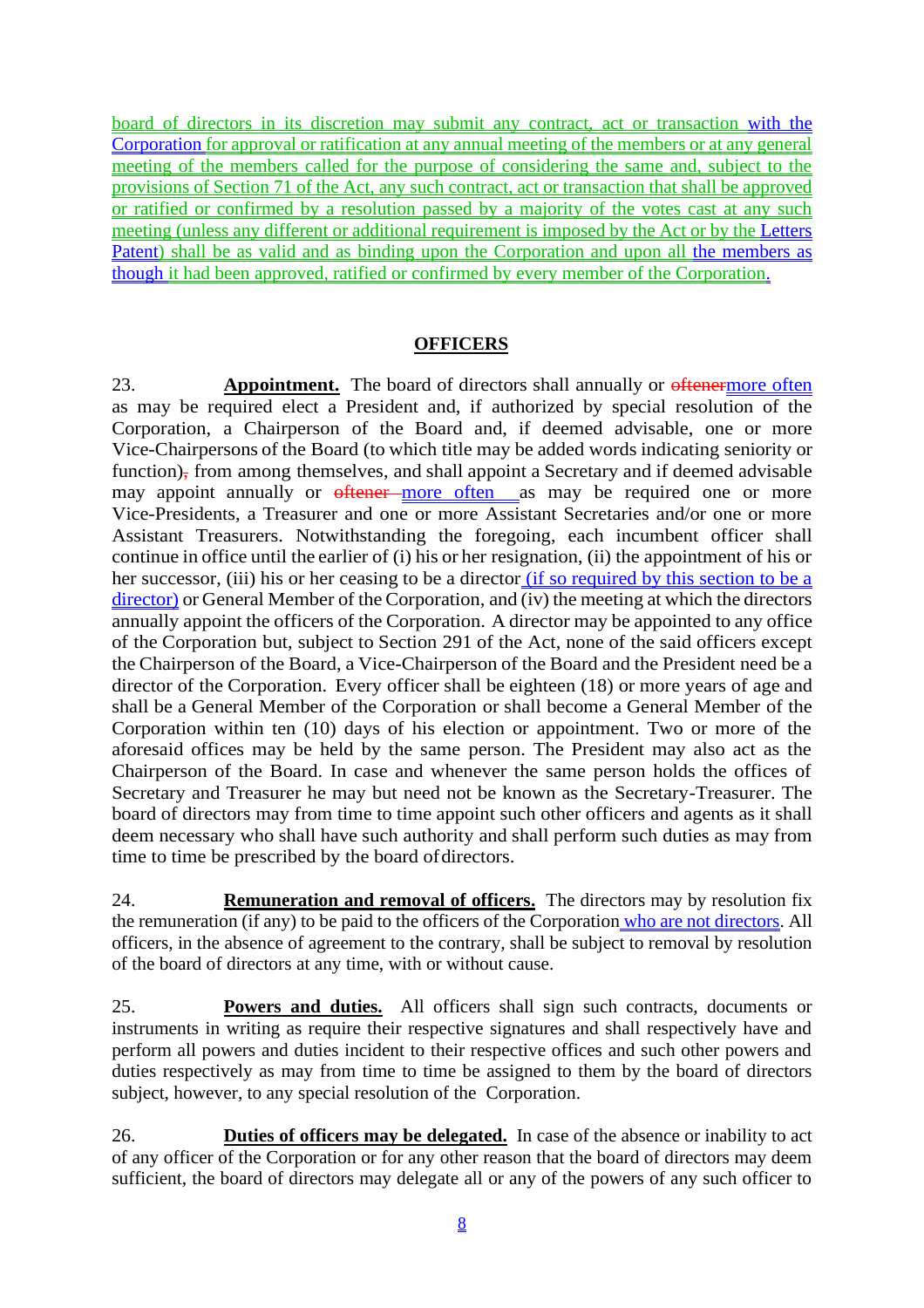board of directors in its discretion may submit any contract, act or transaction with the Corporation for approval or ratification at any annual meeting of the members or at any general meeting of the members called for the purpose of considering the same and, subject to the provisions of Section 71 of the Act, any such contract, act or transaction that shall be approved or ratified or confirmed by a resolution passed by a majority of the votes cast at any such meeting (unless any different or additional requirement is imposed by the Act or by the Letters Patent) shall be as valid and as binding upon the Corporation and upon all the members as though it had been approved, ratified or confirmed by every member of the Corporation.

# **OFFICERS**

23. **Appointment.** The board of directors shall annually or oftenermore often as may be required elect a President and, if authorized by special resolution of the Corporation, a Chairperson of the Board and, if deemed advisable, one or more Vice-Chairpersons of the Board (to which title may be added words indicating seniority or function), from among themselves, and shall appoint a Secretary and if deemed advisable may appoint annually or oftener more often as may be required one or more Vice-Presidents, a Treasurer and one or more Assistant Secretaries and/or one or more Assistant Treasurers. Notwithstanding the foregoing, each incumbent officer shall continue in office until the earlier of (i) his or her resignation, (ii) the appointment of his or her successor, (iii) his or her ceasing to be a director (if so required by this section to be a director) or General Member of the Corporation, and (iv) the meeting at which the directors annually appoint the officers of the Corporation. A director may be appointed to any office of the Corporation but, subject to Section 291 of the Act, none of the said officers except the Chairperson of the Board, a Vice-Chairperson of the Board and the President need be a director of the Corporation. Every officer shall be eighteen (18) or more years of age and shall be a General Member of the Corporation or shall become a General Member of the Corporation within ten (10) days of his election or appointment. Two or more of the aforesaid offices may be held by the same person. The President may also act as the Chairperson of the Board. In case and whenever the same person holds the offices of Secretary and Treasurer he may but need not be known as the Secretary-Treasurer. The board of directors may from time to time appoint such other officers and agents as it shall deem necessary who shall have such authority and shall perform such duties as may from time to time be prescribed by the board ofdirectors.

24. **Remuneration and removal of officers.** The directors may by resolution fix the remuneration (if any) to be paid to the officers of the Corporation who are not directors. All officers, in the absence of agreement to the contrary, shall be subject to removal by resolution of the board of directors at any time, with or without cause.

25. **Powers and duties.** All officers shall sign such contracts, documents or instruments in writing as require their respective signatures and shall respectively have and perform all powers and duties incident to their respective offices and such other powers and duties respectively as may from time to time be assigned to them by the board of directors subject, however, to any special resolution of the Corporation.

26. **Duties of officers may be delegated.** In case of the absence or inability to act of any officer of the Corporation or for any other reason that the board of directors may deem sufficient, the board of directors may delegate all or any of the powers of any such officer to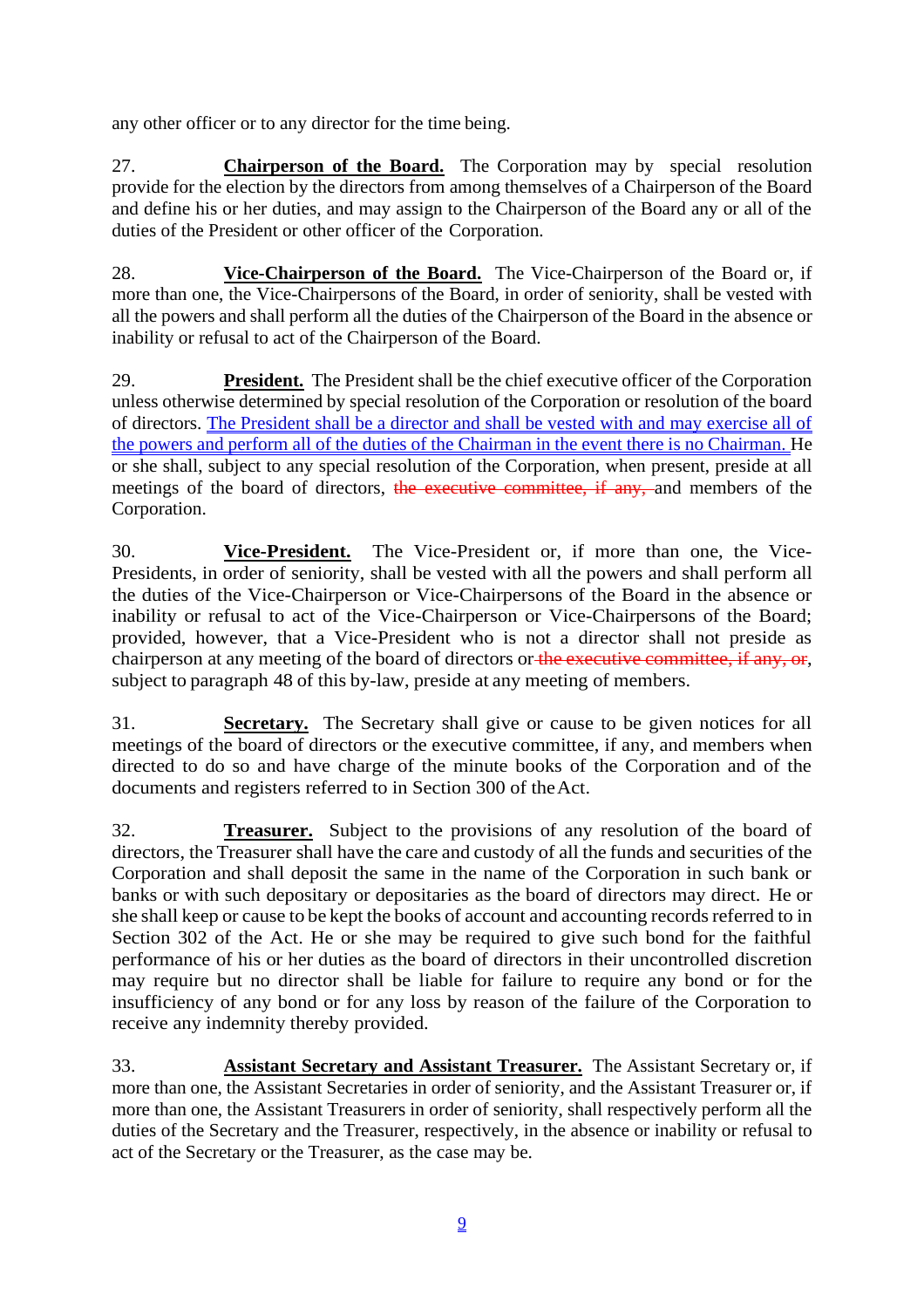any other officer or to any director for the time being.

27. **Chairperson of the Board.** The Corporation may by special resolution provide for the election by the directors from among themselves of a Chairperson of the Board and define his or her duties, and may assign to the Chairperson of the Board any or all of the duties of the President or other officer of the Corporation.

28. **Vice-Chairperson of the Board.** The Vice-Chairperson of the Board or, if more than one, the Vice-Chairpersons of the Board, in order of seniority, shall be vested with all the powers and shall perform all the duties of the Chairperson of the Board in the absence or inability or refusal to act of the Chairperson of the Board.

29. **President.** The President shall be the chief executive officer of the Corporation unless otherwise determined by special resolution of the Corporation or resolution of the board of directors. The President shall be a director and shall be vested with and may exercise all of the powers and perform all of the duties of the Chairman in the event there is no Chairman. He or she shall, subject to any special resolution of the Corporation, when present, preside at all meetings of the board of directors, the executive committee, if any, and members of the Corporation.

30. **Vice-President.** The Vice-President or, if more than one, the Vice-Presidents, in order of seniority, shall be vested with all the powers and shall perform all the duties of the Vice-Chairperson or Vice-Chairpersons of the Board in the absence or inability or refusal to act of the Vice-Chairperson or Vice-Chairpersons of the Board; provided, however, that a Vice-President who is not a director shall not preside as chairperson at any meeting of the board of directors or the executive committee, if any, or, subject to paragraph 48 of this by-law, preside at any meeting of members.

31. **Secretary.** The Secretary shall give or cause to be given notices for all meetings of the board of directors or the executive committee, if any, and members when directed to do so and have charge of the minute books of the Corporation and of the documents and registers referred to in Section 300 of theAct.

32. **Treasurer.** Subject to the provisions of any resolution of the board of directors, the Treasurer shall have the care and custody of all the funds and securities of the Corporation and shall deposit the same in the name of the Corporation in such bank or banks or with such depositary or depositaries as the board of directors may direct. He or she shall keep or cause to be kept the books of account and accounting records referred to in Section 302 of the Act. He or she may be required to give such bond for the faithful performance of his or her duties as the board of directors in their uncontrolled discretion may require but no director shall be liable for failure to require any bond or for the insufficiency of any bond or for any loss by reason of the failure of the Corporation to receive any indemnity thereby provided.

33. **Assistant Secretary and Assistant Treasurer.** The Assistant Secretary or, if more than one, the Assistant Secretaries in order of seniority, and the Assistant Treasurer or, if more than one, the Assistant Treasurers in order of seniority, shall respectively perform all the duties of the Secretary and the Treasurer, respectively, in the absence or inability or refusal to act of the Secretary or the Treasurer, as the case may be.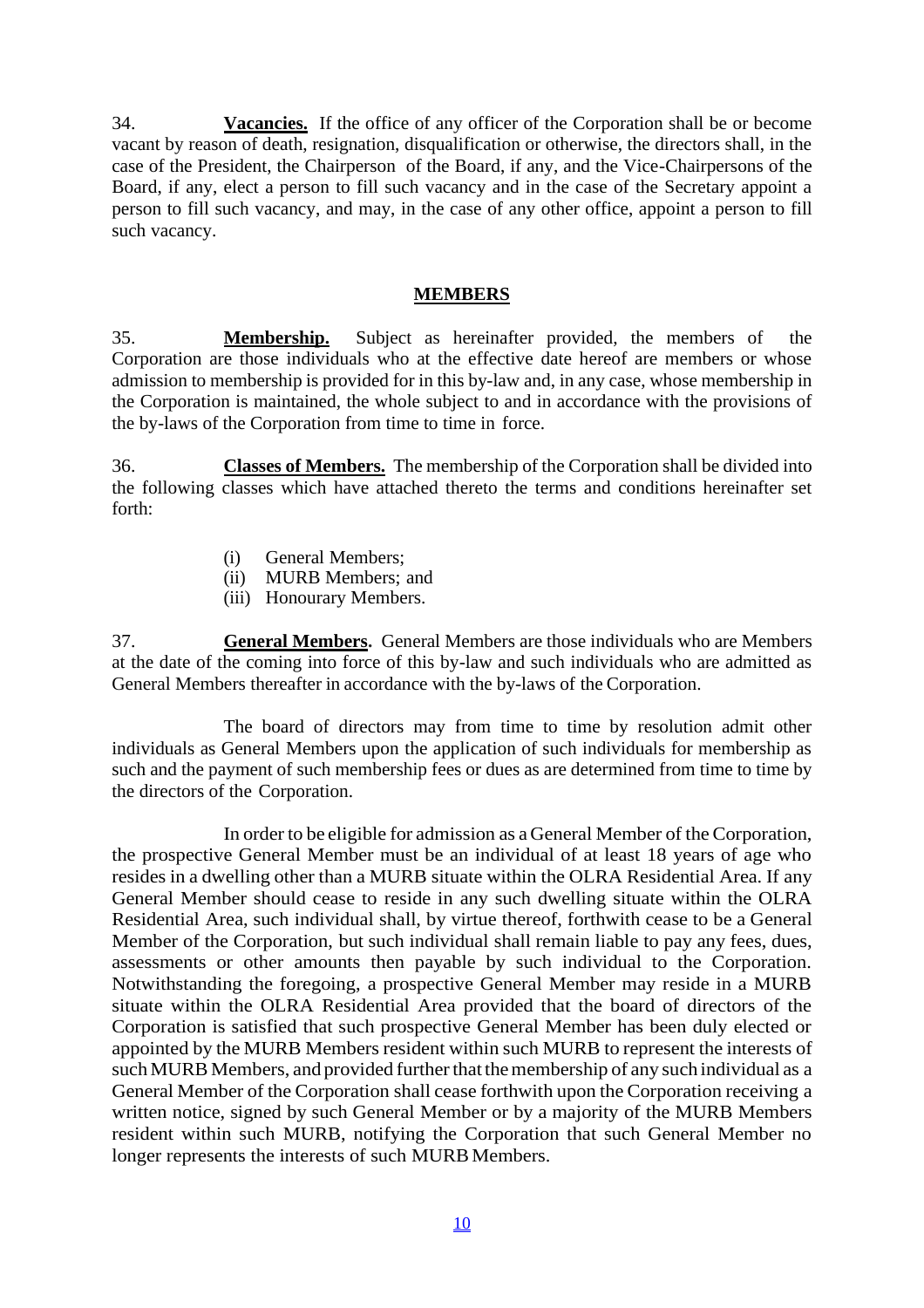34. **Vacancies.** If the office of any officer of the Corporation shall be or become vacant by reason of death, resignation, disqualification or otherwise, the directors shall, in the case of the President, the Chairperson of the Board, if any, and the Vice-Chairpersons of the Board, if any, elect a person to fill such vacancy and in the case of the Secretary appoint a person to fill such vacancy, and may, in the case of any other office, appoint a person to fill such vacancy.

#### **MEMBERS**

35. **Membership.** Subject as hereinafter provided, the members of the Corporation are those individuals who at the effective date hereof are members or whose admission to membership is provided for in this by-law and, in any case, whose membership in the Corporation is maintained, the whole subject to and in accordance with the provisions of the by-laws of the Corporation from time to time in force.

36. **Classes of Members.** The membership of the Corporation shall be divided into the following classes which have attached thereto the terms and conditions hereinafter set forth:

- (i) General Members;
- (ii) MURB Members; and
- (iii) Honourary Members.

37. **General Members.** General Members are those individuals who are Members at the date of the coming into force of this by-law and such individuals who are admitted as General Members thereafter in accordance with the by-laws of the Corporation.

The board of directors may from time to time by resolution admit other individuals as General Members upon the application of such individuals for membership as such and the payment of such membership fees or dues as are determined from time to time by the directors of the Corporation.

In order to be eligible for admission as a General Member of the Corporation, the prospective General Member must be an individual of at least 18 years of age who resides in a dwelling other than a MURB situate within the OLRA Residential Area. If any General Member should cease to reside in any such dwelling situate within the OLRA Residential Area, such individual shall, by virtue thereof, forthwith cease to be a General Member of the Corporation, but such individual shall remain liable to pay any fees, dues, assessments or other amounts then payable by such individual to the Corporation. Notwithstanding the foregoing, a prospective General Member may reside in a MURB situate within the OLRA Residential Area provided that the board of directors of the Corporation is satisfied that such prospective General Member has been duly elected or appointed by the MURB Members resident within such MURB to represent the interests of such MURB Members, and provided further that the membership of any such individual as a General Member of the Corporation shall cease forthwith upon the Corporation receiving a written notice, signed by such General Member or by a majority of the MURB Members resident within such MURB, notifying the Corporation that such General Member no longer represents the interests of such MURB Members.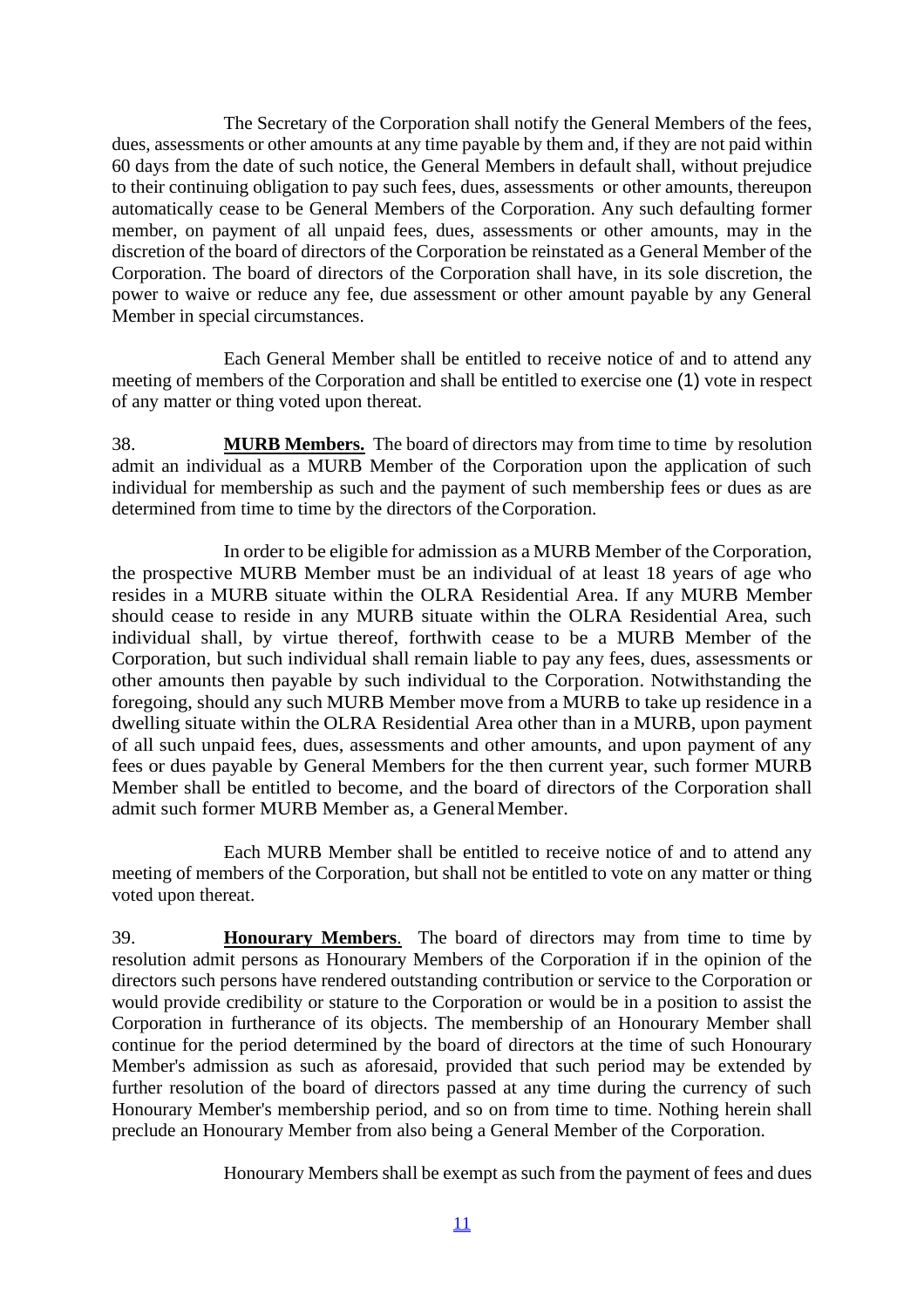The Secretary of the Corporation shall notify the General Members of the fees, dues, assessments or other amounts at any time payable by them and, if they are not paid within 60 days from the date of such notice, the General Members in default shall, without prejudice to their continuing obligation to pay such fees, dues, assessments or other amounts, thereupon automatically cease to be General Members of the Corporation. Any such defaulting former member, on payment of all unpaid fees, dues, assessments or other amounts, may in the discretion of the board of directors of the Corporation be reinstated as a General Member of the Corporation. The board of directors of the Corporation shall have, in its sole discretion, the power to waive or reduce any fee, due assessment or other amount payable by any General Member in special circumstances.

Each General Member shall be entitled to receive notice of and to attend any meeting of members of the Corporation and shall be entitled to exercise one (1) vote in respect of any matter or thing voted upon thereat.

38. **MURB Members.** The board of directors may from time to time by resolution admit an individual as a MURB Member of the Corporation upon the application of such individual for membership as such and the payment of such membership fees or dues as are determined from time to time by the directors of theCorporation.

In order to be eligible for admission as a MURB Member of the Corporation, the prospective MURB Member must be an individual of at least 18 years of age who resides in a MURB situate within the OLRA Residential Area. If any MURB Member should cease to reside in any MURB situate within the OLRA Residential Area, such individual shall, by virtue thereof, forthwith cease to be a MURB Member of the Corporation, but such individual shall remain liable to pay any fees, dues, assessments or other amounts then payable by such individual to the Corporation. Notwithstanding the foregoing, should any such MURB Member move from a MURB to take up residence in a dwelling situate within the OLRA Residential Area other than in a MURB, upon payment of all such unpaid fees, dues, assessments and other amounts, and upon payment of any fees or dues payable by General Members for the then current year, such former MURB Member shall be entitled to become, and the board of directors of the Corporation shall admit such former MURB Member as, a GeneralMember.

Each MURB Member shall be entitled to receive notice of and to attend any meeting of members of the Corporation, but shall not be entitled to vote on any matter or thing voted upon thereat.

39. **Honourary Members**. The board of directors may from time to time by resolution admit persons as Honourary Members of the Corporation if in the opinion of the directors such persons have rendered outstanding contribution or service to the Corporation or would provide credibility or stature to the Corporation or would be in a position to assist the Corporation in furtherance of its objects. The membership of an Honourary Member shall continue for the period determined by the board of directors at the time of such Honourary Member's admission as such as aforesaid, provided that such period may be extended by further resolution of the board of directors passed at any time during the currency of such Honourary Member's membership period, and so on from time to time. Nothing herein shall preclude an Honourary Member from also being a General Member of the Corporation.

Honourary Members shall be exempt as such from the payment of fees and dues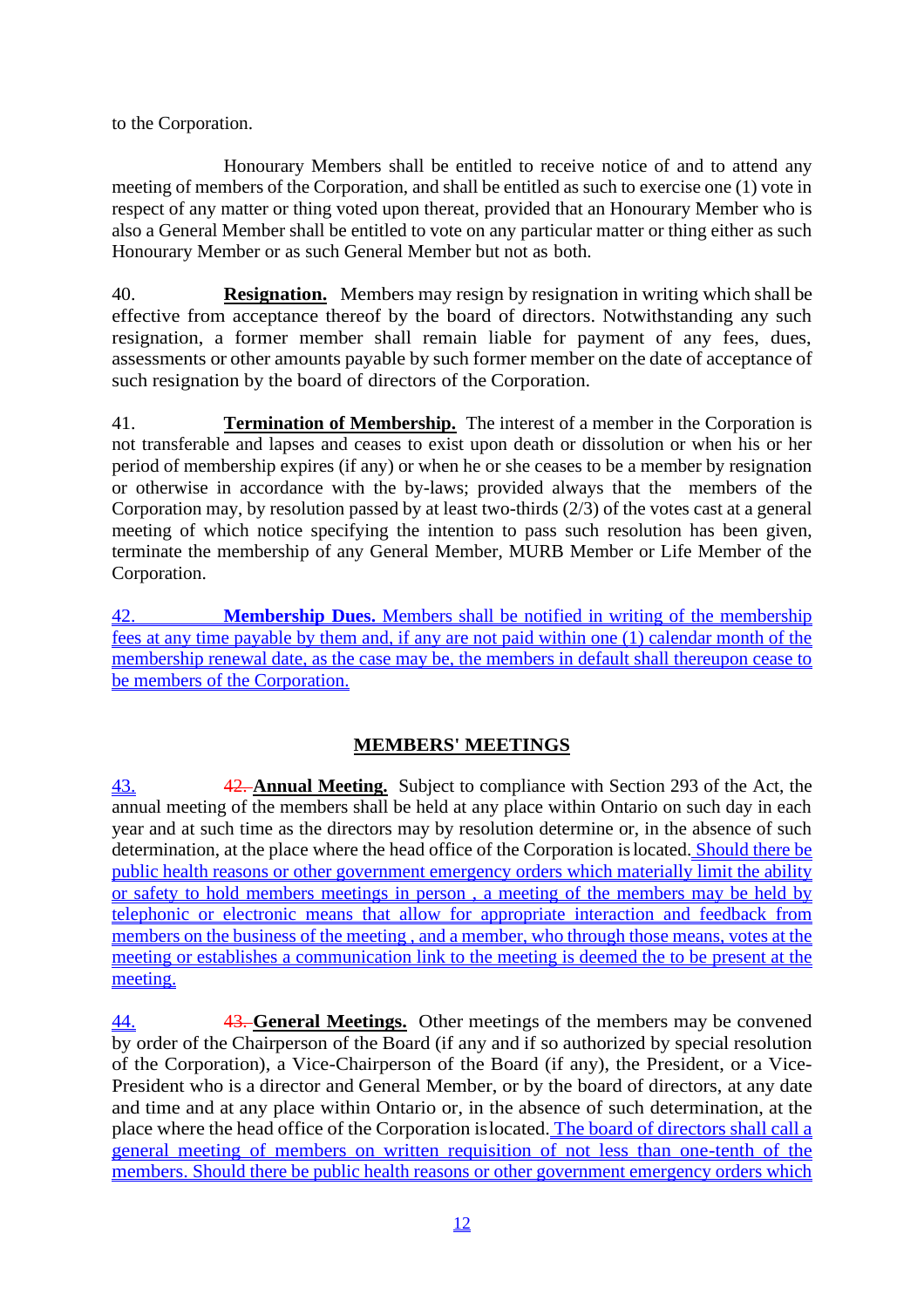to the Corporation.

Honourary Members shall be entitled to receive notice of and to attend any meeting of members of the Corporation, and shall be entitled as such to exercise one (1) vote in respect of any matter or thing voted upon thereat, provided that an Honourary Member who is also a General Member shall be entitled to vote on any particular matter or thing either as such Honourary Member or as such General Member but not as both.

40. **Resignation.** Members may resign by resignation in writing which shall be effective from acceptance thereof by the board of directors. Notwithstanding any such resignation, a former member shall remain liable for payment of any fees, dues, assessments or other amounts payable by such former member on the date of acceptance of such resignation by the board of directors of the Corporation.

41. **Termination of Membership.** The interest of a member in the Corporation is not transferable and lapses and ceases to exist upon death or dissolution or when his or her period of membership expires (if any) or when he or she ceases to be a member by resignation or otherwise in accordance with the by-laws; provided always that the members of the Corporation may, by resolution passed by at least two-thirds (2/3) of the votes cast at a general meeting of which notice specifying the intention to pass such resolution has been given, terminate the membership of any General Member, MURB Member or Life Member of the Corporation.

42. **Membership Dues.** Members shall be notified in writing of the membership fees at any time payable by them and, if any are not paid within one (1) calendar month of the membership renewal date, as the case may be, the members in default shall thereupon cease to be members of the Corporation.

# **MEMBERS' MEETINGS**

43. 42. **Annual Meeting.** Subject to compliance with Section 293 of the Act, the annual meeting of the members shall be held at any place within Ontario on such day in each year and at such time as the directors may by resolution determine or, in the absence of such determination, at the place where the head office of the Corporation is located. Should there be public health reasons or other government emergency orders which materially limit the ability or safety to hold members meetings in person , a meeting of the members may be held by telephonic or electronic means that allow for appropriate interaction and feedback from members on the business of the meeting , and a member, who through those means, votes at the meeting or establishes a communication link to the meeting is deemed the to be present at the meeting.

44. 43. **General Meetings.** Other meetings of the members may be convened by order of the Chairperson of the Board (if any and if so authorized by special resolution of the Corporation), a Vice-Chairperson of the Board (if any), the President, or a Vice-President who is a director and General Member, or by the board of directors, at any date and time and at any place within Ontario or, in the absence of such determination, at the place where the head office of the Corporation islocated. The board of directors shall call a general meeting of members on written requisition of not less than one-tenth of the members. Should there be public health reasons or other government emergency orders which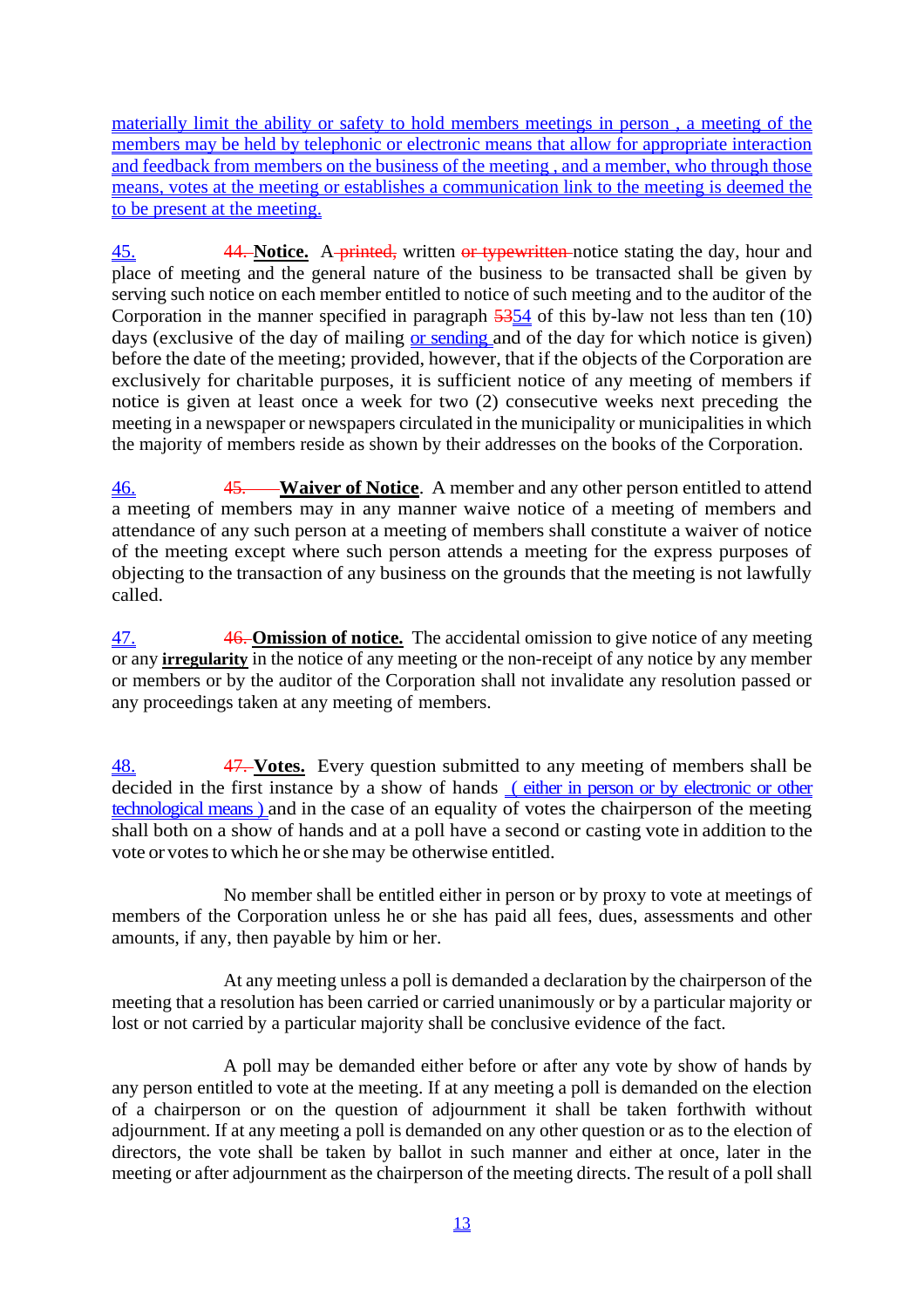materially limit the ability or safety to hold members meetings in person , a meeting of the members may be held by telephonic or electronic means that allow for appropriate interaction and feedback from members on the business of the meeting , and a member, who through those means, votes at the meeting or establishes a communication link to the meeting is deemed the to be present at the meeting.

45. 44. **Notice.** A printed, written or typewritten notice stating the day, hour and place of meeting and the general nature of the business to be transacted shall be given by serving such notice on each member entitled to notice of such meeting and to the auditor of the Corporation in the manner specified in paragraph 5354 of this by-law not less than ten (10) days (exclusive of the day of mailing <u>or sending</u> and of the day for which notice is given) before the date of the meeting; provided, however, that if the objects of the Corporation are exclusively for charitable purposes, it is sufficient notice of any meeting of members if notice is given at least once a week for two (2) consecutive weeks next preceding the meeting in a newspaper or newspapers circulated in the municipality or municipalities in which the majority of members reside as shown by their addresses on the books of the Corporation.

46. 45. **Waiver of Notice**. A member and any other person entitled to attend a meeting of members may in any manner waive notice of a meeting of members and attendance of any such person at a meeting of members shall constitute a waiver of notice of the meeting except where such person attends a meeting for the express purposes of objecting to the transaction of any business on the grounds that the meeting is not lawfully called.

47. 46. **Omission of notice.** The accidental omission to give notice of any meeting or any **irregularity** in the notice of any meeting or the non-receipt of any notice by any member or members or by the auditor of the Corporation shall not invalidate any resolution passed or any proceedings taken at any meeting of members.

48. 47. **Votes.** Every question submitted to any meeting of members shall be decided in the first instance by a show of hands (either in person or by electronic or other technological means ) and in the case of an equality of votes the chairperson of the meeting shall both on a show of hands and at a poll have a second or casting vote in addition to the vote or votes to which he or she may be otherwise entitled.

No member shall be entitled either in person or by proxy to vote at meetings of members of the Corporation unless he or she has paid all fees, dues, assessments and other amounts, if any, then payable by him or her.

At any meeting unless a poll is demanded a declaration by the chairperson of the meeting that a resolution has been carried or carried unanimously or by a particular majority or lost or not carried by a particular majority shall be conclusive evidence of the fact.

A poll may be demanded either before or after any vote by show of hands by any person entitled to vote at the meeting. If at any meeting a poll is demanded on the election of a chairperson or on the question of adjournment it shall be taken forthwith without adjournment. If at any meeting a poll is demanded on any other question or as to the election of directors, the vote shall be taken by ballot in such manner and either at once, later in the meeting or after adjournment as the chairperson of the meeting directs. The result of a poll shall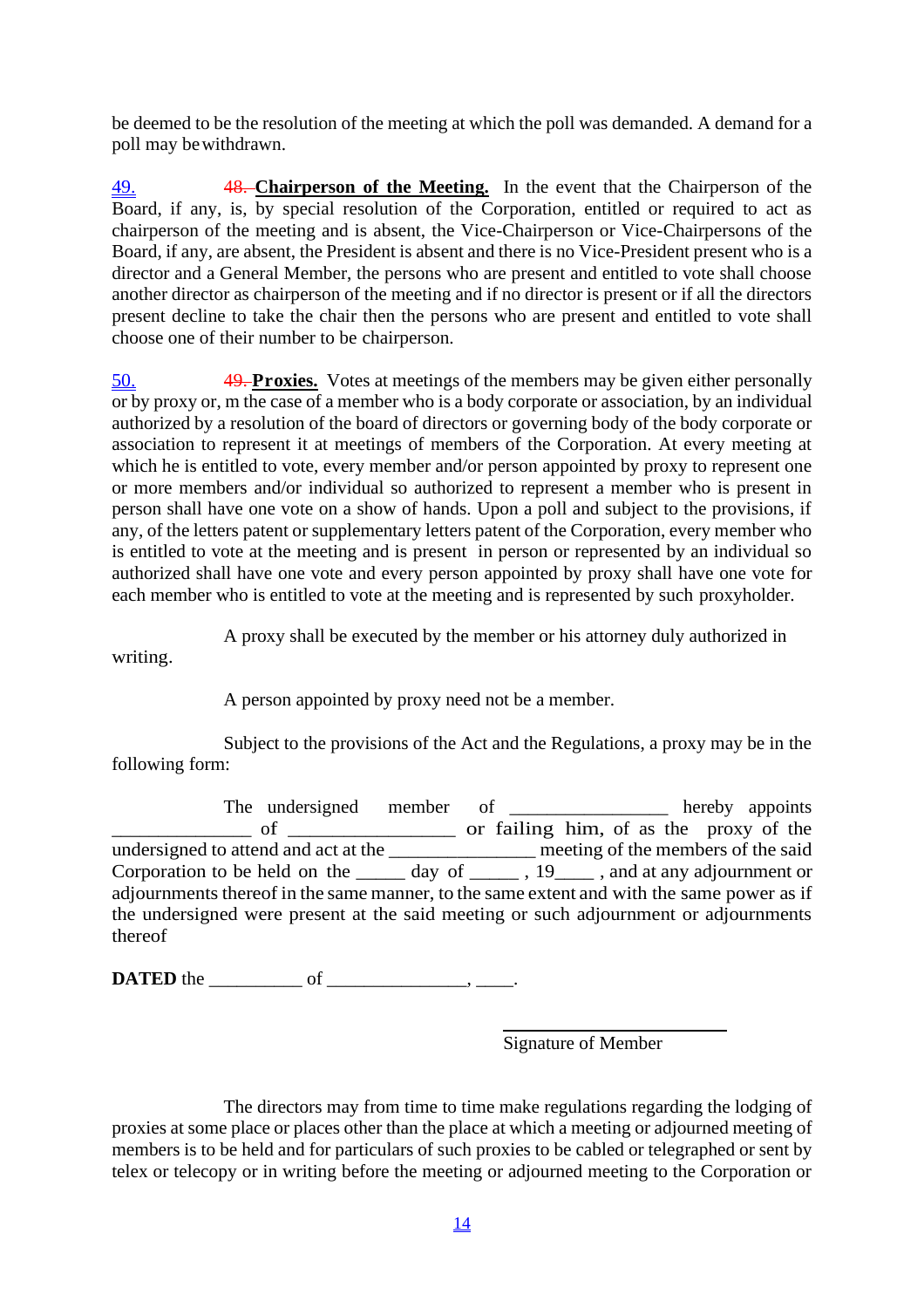be deemed to be the resolution of the meeting at which the poll was demanded. A demand for a poll may bewithdrawn.

49. 48. **Chairperson of the Meeting.** In the event that the Chairperson of the Board, if any, is, by special resolution of the Corporation, entitled or required to act as chairperson of the meeting and is absent, the Vice-Chairperson or Vice-Chairpersons of the Board, if any, are absent, the President is absent and there is no Vice-President present who is a director and a General Member, the persons who are present and entitled to vote shall choose another director as chairperson of the meeting and if no director is present or if all the directors present decline to take the chair then the persons who are present and entitled to vote shall choose one of their number to be chairperson.

50. 49. **Proxies.** Votes at meetings of the members may be given either personally or by proxy or, m the case of a member who is a body corporate or association, by an individual authorized by a resolution of the board of directors or governing body of the body corporate or association to represent it at meetings of members of the Corporation. At every meeting at which he is entitled to vote, every member and/or person appointed by proxy to represent one or more members and/or individual so authorized to represent a member who is present in person shall have one vote on a show of hands. Upon a poll and subject to the provisions, if any, of the letters patent or supplementary letters patent of the Corporation, every member who is entitled to vote at the meeting and is present in person or represented by an individual so authorized shall have one vote and every person appointed by proxy shall have one vote for each member who is entitled to vote at the meeting and is represented by such proxyholder.

A proxy shall be executed by the member or his attorney duly authorized in

writing.

A person appointed by proxy need not be a member.

Subject to the provisions of the Act and the Regulations, a proxy may be in the following form:

The undersigned member of \_\_\_\_\_\_\_\_\_\_\_\_\_\_ hereby appoints  $\frac{1}{2}$  of  $\frac{1}{2}$  or failing him, of as the proxy of the undersigned to attend and act at the \_\_\_\_\_\_\_\_\_\_\_\_\_\_\_ meeting of the members of the said Corporation to be held on the \_\_\_\_\_ day of \_\_\_\_\_\_, 19\_\_\_\_\_, and at any adjournment or adjournments thereof in the same manner, to the same extent and with the same power as if the undersigned were present at the said meeting or such adjournment or adjournments thereof

**DATED** the \_\_\_\_\_\_\_\_\_\_ of \_\_\_\_\_\_\_\_\_\_\_\_\_\_\_, \_\_\_\_.

Signature of Member

The directors may from time to time make regulations regarding the lodging of proxies at some place or places other than the place at which a meeting or adjourned meeting of members is to be held and for particulars of such proxies to be cabled or telegraphed or sent by telex or telecopy or in writing before the meeting or adjourned meeting to the Corporation or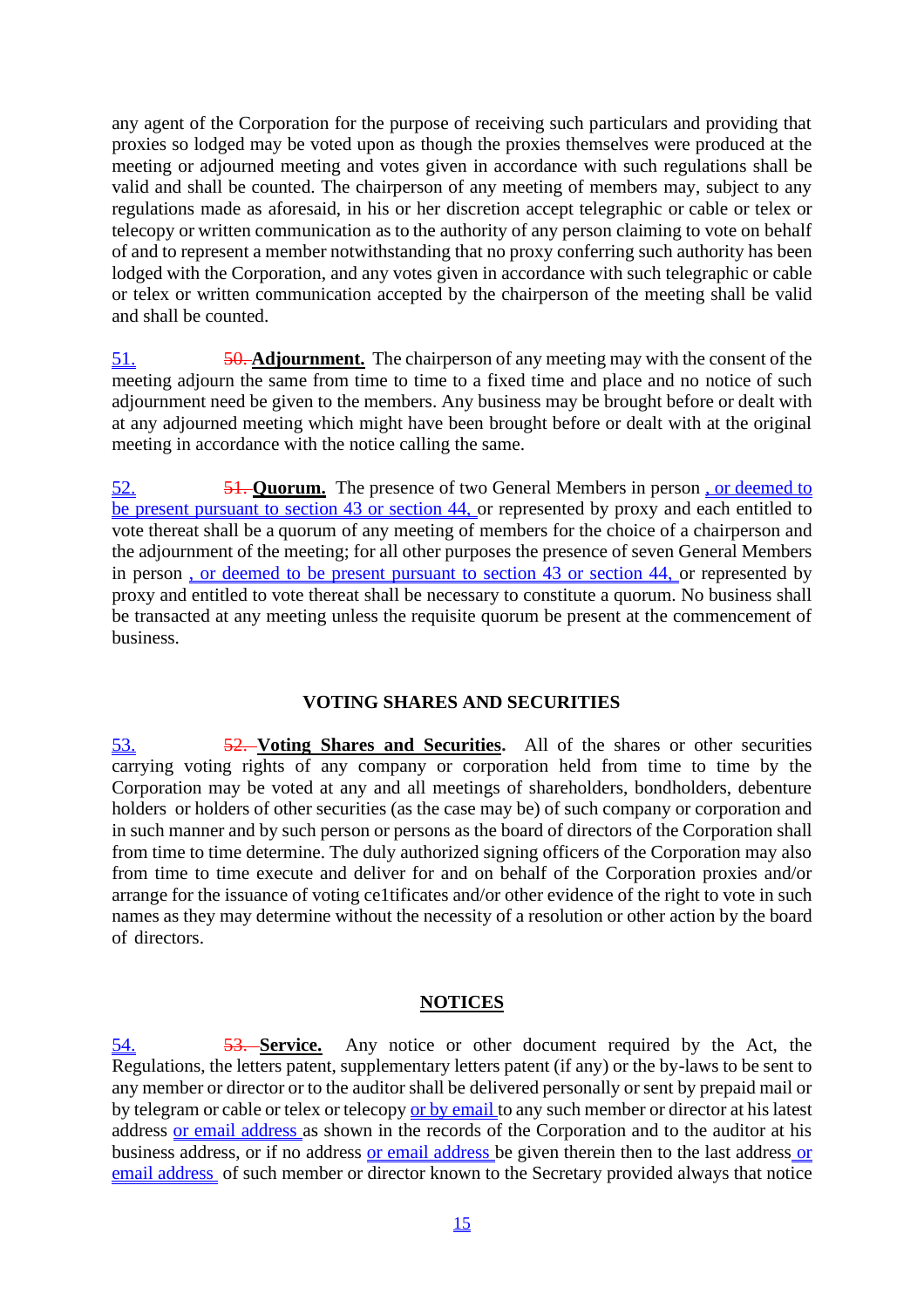any agent of the Corporation for the purpose of receiving such particulars and providing that proxies so lodged may be voted upon as though the proxies themselves were produced at the meeting or adjourned meeting and votes given in accordance with such regulations shall be valid and shall be counted. The chairperson of any meeting of members may, subject to any regulations made as aforesaid, in his or her discretion accept telegraphic or cable or telex or telecopy or written communication as to the authority of any person claiming to vote on behalf of and to represent a member notwithstanding that no proxy conferring such authority has been lodged with the Corporation, and any votes given in accordance with such telegraphic or cable or telex or written communication accepted by the chairperson of the meeting shall be valid and shall be counted.

51. 50. **Adjournment.** The chairperson of any meeting may with the consent of the meeting adjourn the same from time to time to a fixed time and place and no notice of such adjournment need be given to the members. Any business may be brought before or dealt with at any adjourned meeting which might have been brought before or dealt with at the original meeting in accordance with the notice calling the same.

52. 51. **Quorum.** The presence of two General Members in person , or deemed to be present pursuant to section 43 or section 44, or represented by proxy and each entitled to vote thereat shall be a quorum of any meeting of members for the choice of a chairperson and the adjournment of the meeting; for all other purposes the presence of seven General Members in person , or deemed to be present pursuant to section 43 or section 44, or represented by proxy and entitled to vote thereat shall be necessary to constitute a quorum. No business shall be transacted at any meeting unless the requisite quorum be present at the commencement of business.

# **VOTING SHARES AND SECURITIES**

53. 52. **Voting Shares and Securities.** All of the shares or other securities carrying voting rights of any company or corporation held from time to time by the Corporation may be voted at any and all meetings of shareholders, bondholders, debenture holders or holders of other securities (as the case may be) of such company or corporation and in such manner and by such person or persons as the board of directors of the Corporation shall from time to time determine. The duly authorized signing officers of the Corporation may also from time to time execute and deliver for and on behalf of the Corporation proxies and/or arrange for the issuance of voting ce1tificates and/or other evidence of the right to vote in such names as they may determine without the necessity of a resolution or other action by the board of directors.

# **NOTICES**

54. 53. **Service.** Any notice or other document required by the Act, the Regulations, the letters patent, supplementary letters patent (if any) or the by-laws to be sent to any member or director or to the auditor shall be delivered personally or sent by prepaid mail or by telegram or cable or telex or telecopy or by email to any such member or director at his latest address or email address as shown in the records of the Corporation and to the auditor at his business address, or if no address or email address be given therein then to the last address or email address of such member or director known to the Secretary provided always that notice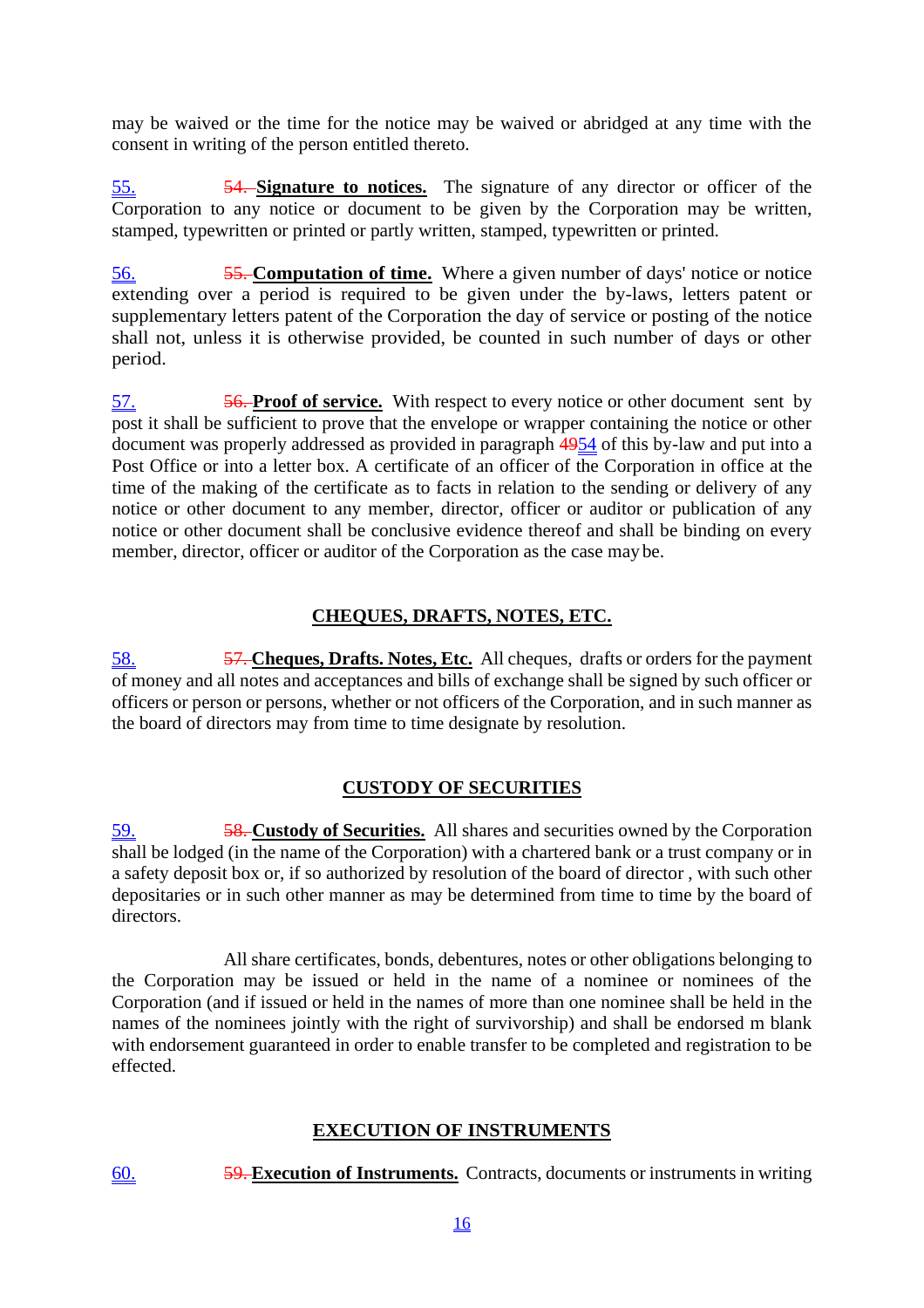may be waived or the time for the notice may be waived or abridged at any time with the consent in writing of the person entitled thereto.

55. 54. **Signature to notices.** The signature of any director or officer of the Corporation to any notice or document to be given by the Corporation may be written, stamped, typewritten or printed or partly written, stamped, typewritten or printed.

56. 55. **Computation of time.** Where a given number of days' notice or notice extending over a period is required to be given under the by-laws, letters patent or supplementary letters patent of the Corporation the day of service or posting of the notice shall not, unless it is otherwise provided, be counted in such number of days or other period.

57. 56. **Proof of service.** With respect to every notice or other document sent by post it shall be sufficient to prove that the envelope or wrapper containing the notice or other document was properly addressed as provided in paragraph 4954 of this by-law and put into a Post Office or into a letter box. A certificate of an officer of the Corporation in office at the time of the making of the certificate as to facts in relation to the sending or delivery of any notice or other document to any member, director, officer or auditor or publication of any notice or other document shall be conclusive evidence thereof and shall be binding on every member, director, officer or auditor of the Corporation as the case may be.

# **CHEQUES, DRAFTS, NOTES, ETC.**

58. 57. **Cheques, Drafts. Notes, Etc.** All cheques, drafts or orders for the payment of money and all notes and acceptances and bills of exchange shall be signed by such officer or officers or person or persons, whether or not officers of the Corporation, and in such manner as the board of directors may from time to time designate by resolution.

# **CUSTODY OF SECURITIES**

59. 58. **Custody of Securities.** All shares and securities owned by the Corporation shall be lodged (in the name of the Corporation) with a chartered bank or a trust company or in a safety deposit box or, if so authorized by resolution of the board of director , with such other depositaries or in such other manner as may be determined from time to time by the board of directors.

All share certificates, bonds, debentures, notes or other obligations belonging to the Corporation may be issued or held in the name of a nominee or nominees of the Corporation (and if issued or held in the names of more than one nominee shall be held in the names of the nominees jointly with the right of survivorship) and shall be endorsed m blank with endorsement guaranteed in order to enable transfer to be completed and registration to be effected.

# **EXECUTION OF INSTRUMENTS**

60. 59. **Execution of Instruments.** Contracts, documents or instruments in writing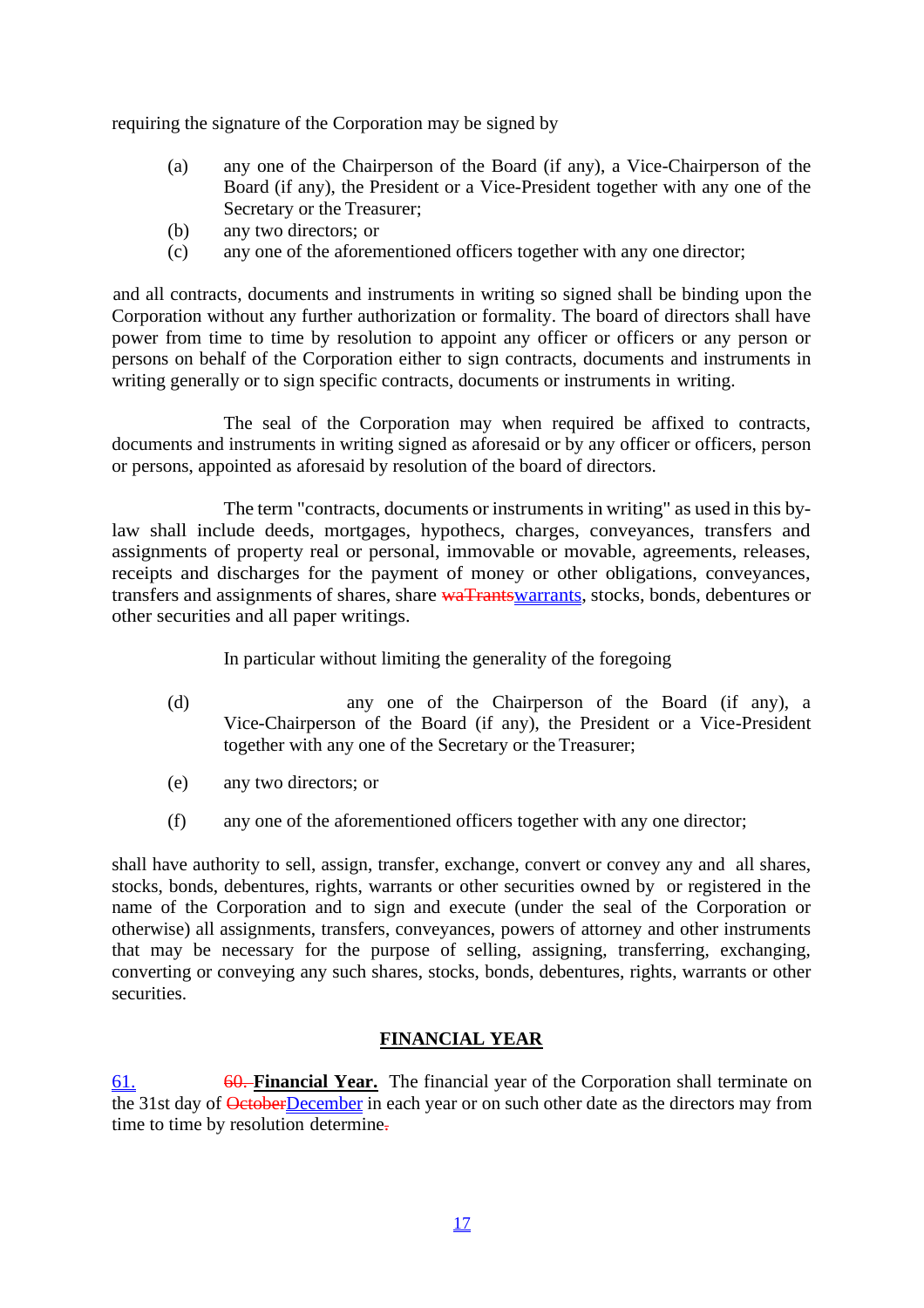requiring the signature of the Corporation may be signed by

- (a) any one of the Chairperson of the Board (if any), a Vice-Chairperson of the Board (if any), the President or a Vice-President together with any one of the Secretary or the Treasurer;
- (b) any two directors; or
- (c) any one of the aforementioned officers together with any one director;

and all contracts, documents and instruments in writing so signed shall be binding upon the Corporation without any further authorization or formality. The board of directors shall have power from time to time by resolution to appoint any officer or officers or any person or persons on behalf of the Corporation either to sign contracts, documents and instruments in writing generally or to sign specific contracts, documents or instruments in writing.

The seal of the Corporation may when required be affixed to contracts, documents and instruments in writing signed as aforesaid or by any officer or officers, person or persons, appointed as aforesaid by resolution of the board of directors.

The term "contracts, documents or instruments in writing" as used in this bylaw shall include deeds, mortgages, hypothecs, charges, conveyances, transfers and assignments of property real or personal, immovable or movable, agreements, releases, receipts and discharges for the payment of money or other obligations, conveyances, transfers and assignments of shares, share waTrantswarrants, stocks, bonds, debentures or other securities and all paper writings.

### In particular without limiting the generality of the foregoing

- (d) any one of the Chairperson of the Board (if any), a Vice-Chairperson of the Board (if any), the President or a Vice-President together with any one of the Secretary or the Treasurer;
- (e) any two directors; or
- (f) any one of the aforementioned officers together with any one director;

shall have authority to sell, assign, transfer, exchange, convert or convey any and all shares, stocks, bonds, debentures, rights, warrants or other securities owned by or registered in the name of the Corporation and to sign and execute (under the seal of the Corporation or otherwise) all assignments, transfers, conveyances, powers of attorney and other instruments that may be necessary for the purpose of selling, assigning, transferring, exchanging, converting or conveying any such shares, stocks, bonds, debentures, rights, warrants or other securities.

# **FINANCIAL YEAR**

61. 60. **Financial Year.** The financial year of the Corporation shall terminate on the 31st day of **OctoberDecember** in each year or on such other date as the directors may from time to time by resolution determine.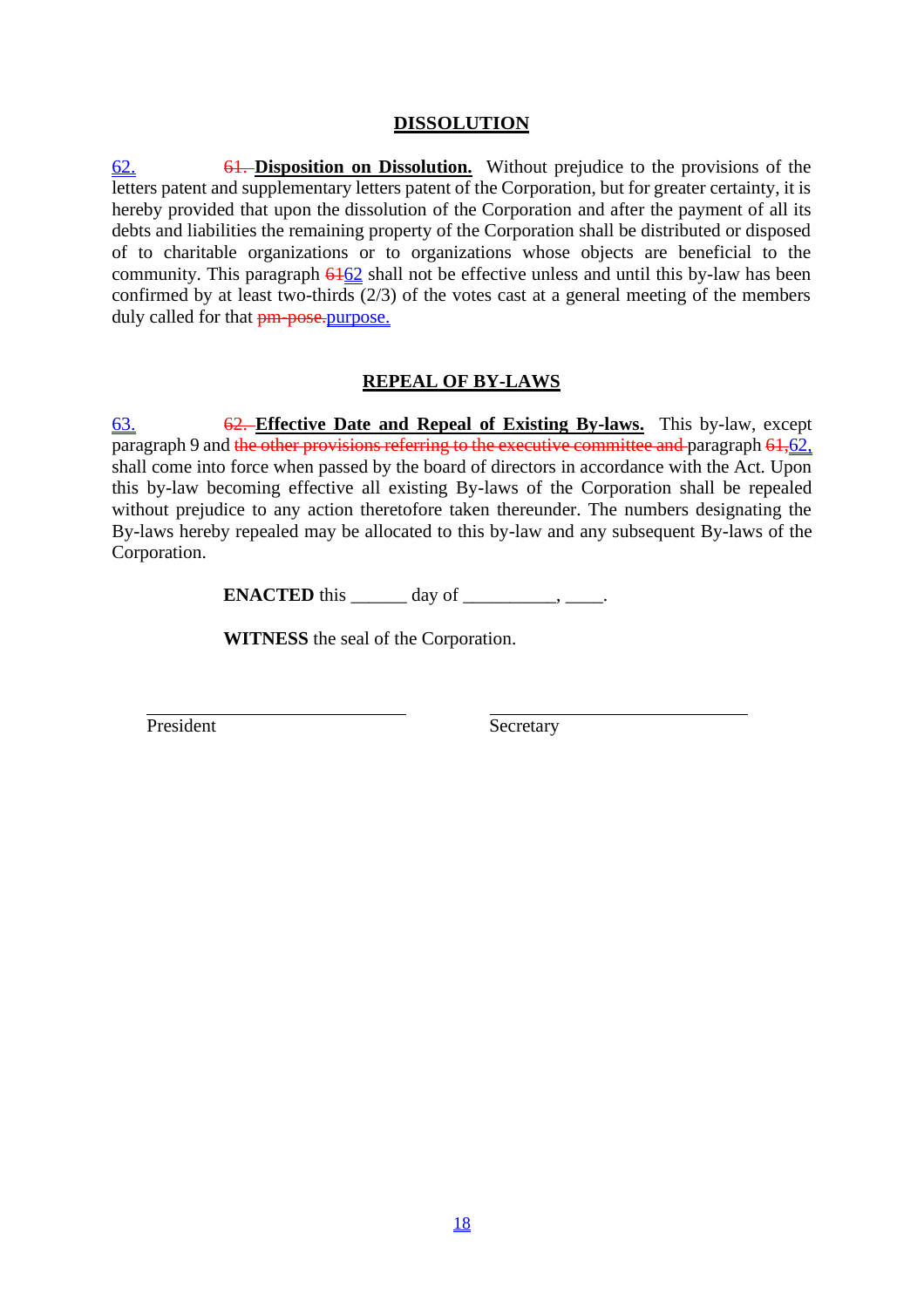# **DISSOLUTION**

62. 61. **Disposition on Dissolution.** Without prejudice to the provisions of the letters patent and supplementary letters patent of the Corporation, but for greater certainty, it is hereby provided that upon the dissolution of the Corporation and after the payment of all its debts and liabilities the remaining property of the Corporation shall be distributed or disposed of to charitable organizations or to organizations whose objects are beneficial to the community. This paragraph  $6162$  shall not be effective unless and until this by-law has been confirmed by at least two-thirds (2/3) of the votes cast at a general meeting of the members duly called for that  $\frac{pm}{p}$  pose. purpose.

# **REPEAL OF BY-LAWS**

63. 62. **Effective Date and Repeal of Existing By-laws.** This by-law, except paragraph 9 and the other provisions referring to the executive committee and paragraph 61,62, shall come into force when passed by the board of directors in accordance with the Act. Upon this by-law becoming effective all existing By-laws of the Corporation shall be repealed without prejudice to any action theretofore taken thereunder. The numbers designating the By-laws hereby repealed may be allocated to this by-law and any subsequent By-laws of the Corporation.

**ENACTED** this  $\_\_\_\_\_\_\$  day of  $\_\_\_\_\_\_\_\_\_\_\_\_\_\_\_\_\_\_\_\_\_$ 

**WITNESS** the seal of the Corporation.

President Secretary